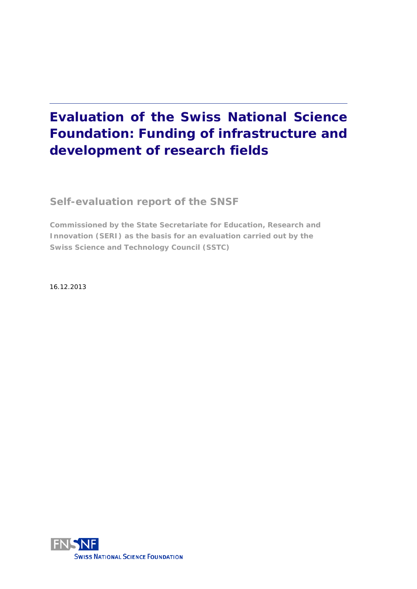# **Evaluation of the Swiss National Science Foundation: Funding of infrastructure and development of research fields**

**Self-evaluation report of the SNSF**

**Commissioned by the State Secretariate for Education, Research and Innovation (SERI) as the basis for an evaluation carried out by the Swiss Science and Technology Council (SSTC)** 

16.12.2013

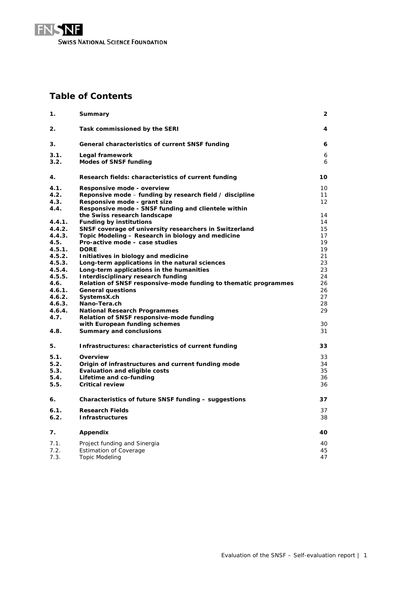

## **Table of Contents**

| 1.             | Summary                                                                                               | 2                 |
|----------------|-------------------------------------------------------------------------------------------------------|-------------------|
| 2.             | Task commissioned by the SERI                                                                         | 4                 |
| 3.             | General characteristics of current SNSF funding                                                       | 6                 |
| 3.1.<br>3.2.   | Legal framework<br><b>Modes of SNSF funding</b>                                                       | 6<br>6            |
| 4.             | Research fields: characteristics of current funding                                                   | 10                |
| 4.1.           | Responsive mode - overview                                                                            | 10                |
| 4.2.           | Reponsive mode – funding by research field / discipline                                               | 11                |
| 4.3.           | Responsive mode - grant size                                                                          | $12 \overline{ }$ |
| 4.4.           | Responsive mode - SNSF funding and clientele within                                                   |                   |
|                | the Swiss research landscape                                                                          | 14                |
| 4.4.1.         | <b>Funding by institutions</b>                                                                        | 14                |
| 4.4.2.         | SNSF coverage of university researchers in Switzerland                                                | 15                |
| 4.4.3.         | Topic Modeling – Research in biology and medicine                                                     | 17                |
| 4.5.           | Pro-active mode - case studies                                                                        | 19                |
| 4.5.1.         | <b>DORE</b>                                                                                           | 19                |
| 4.5.2.         | Initiatives in biology and medicine                                                                   | 21                |
| 4.5.3.         | Long-term applications in the natural sciences                                                        | 23<br>23          |
| 4.5.4.         | Long-term applications in the humanities                                                              |                   |
| 4.5.5.<br>4.6. | Interdisciplinary research funding<br>Relation of SNSF responsive-mode funding to thematic programmes | 24<br>26          |
| 4.6.1.         | <b>General questions</b>                                                                              | 26                |
| 4.6.2.         | SystemsX.ch                                                                                           | 27                |
| 4.6.3.         | Nano-Tera.ch                                                                                          | 28                |
| 4.6.4.         | <b>National Research Programmes</b>                                                                   | 29                |
| 4.7.           | Relation of SNSF responsive-mode funding                                                              |                   |
|                | with European funding schemes                                                                         | 30                |
| 4.8.           | <b>Summary and conclusions</b>                                                                        | 31                |
|                |                                                                                                       |                   |
| 5.             | Infrastructures: characteristics of current funding                                                   | 33                |
| 5.1.           | Overview                                                                                              | 33                |
| 5.2.           | Origin of infrastructures and current funding mode                                                    | 34                |
| 5.3.           | <b>Evaluation and eligible costs</b>                                                                  | 35                |
| 5.4.           | Lifetime and co-funding                                                                               | 36                |
| 5.5.           | <b>Critical review</b>                                                                                | 36                |
| 6.             | Characteristics of future SNSF funding – suggestions                                                  | 37                |
| 6.1.           | <b>Research Fields</b>                                                                                | 37                |
| 6.2.           | <b>Infrastructures</b>                                                                                | 38                |
|                |                                                                                                       |                   |
| 7.             | Appendix                                                                                              | 40                |
| 7.1.           | Project funding and Sinergia                                                                          | 40                |
| 7.2.           | <b>Estimation of Coverage</b>                                                                         | 45                |
| 7.3.           | <b>Topic Modeling</b>                                                                                 | 47                |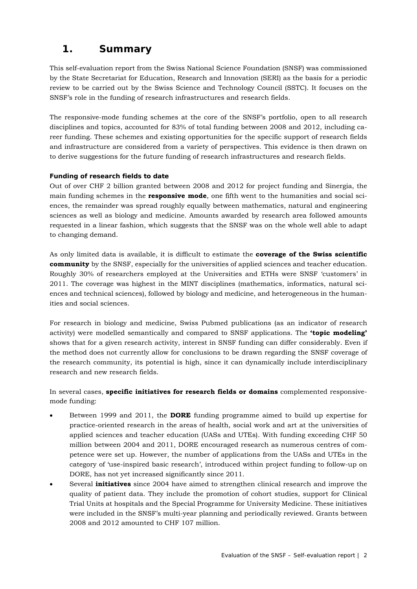## **1. Summary**

This self-evaluation report from the Swiss National Science Foundation (SNSF) was commissioned by the State Secretariat for Education, Research and Innovation (SERI) as the basis for a periodic review to be carried out by the Swiss Science and Technology Council (SSTC). It focuses on the SNSF's role in the funding of research infrastructures and research fields.

The responsive-mode funding schemes at the core of the SNSF's portfolio, open to all research disciplines and topics, accounted for 83% of total funding between 2008 and 2012, including career funding. These schemes and existing opportunities for the specific support of research fields and infrastructure are considered from a variety of perspectives. This evidence is then drawn on to derive suggestions for the future funding of research infrastructures and research fields.

#### **Funding of research fields to date**

Out of over CHF 2 billion granted between 2008 and 2012 for project funding and Sinergia, the main funding schemes in the **responsive mode**, one fifth went to the humanities and social sciences, the remainder was spread roughly equally between mathematics, natural and engineering sciences as well as biology and medicine. Amounts awarded by research area followed amounts requested in a linear fashion, which suggests that the SNSF was on the whole well able to adapt to changing demand.

As only limited data is available, it is difficult to estimate the **coverage of the Swiss scientific community** by the SNSF, especially for the universities of applied sciences and teacher education. Roughly 30% of researchers employed at the Universities and ETHs were SNSF 'customers' in 2011. The coverage was highest in the MINT disciplines (mathematics, informatics, natural sciences and technical sciences), followed by biology and medicine, and heterogeneous in the humanities and social sciences.

For research in biology and medicine, Swiss Pubmed publications (as an indicator of research activity) were modelled semantically and compared to SNSF applications. The **'topic modeling'** shows that for a given research activity, interest in SNSF funding can differ considerably. Even if the method does not currently allow for conclusions to be drawn regarding the SNSF coverage of the research community, its potential is high, since it can dynamically include interdisciplinary research and new research fields.

In several cases, **specific initiatives for research fields or domains** complemented responsivemode funding:

- Between 1999 and 2011, the **DORE** funding programme aimed to build up expertise for practice-oriented research in the areas of health, social work and art at the universities of applied sciences and teacher education (UASs and UTEs). With funding exceeding CHF 50 million between 2004 and 2011, DORE encouraged research as numerous centres of competence were set up. However, the number of applications from the UASs and UTEs in the category of 'use-inspired basic research', introduced within project funding to follow-up on DORE, has not yet increased significantly since 2011.
- Several **initiatives** since 2004 have aimed to strengthen clinical research and improve the quality of patient data. They include the promotion of cohort studies, support for Clinical Trial Units at hospitals and the Special Programme for University Medicine. These initiatives were included in the SNSF's multi-year planning and periodically reviewed. Grants between 2008 and 2012 amounted to CHF 107 million.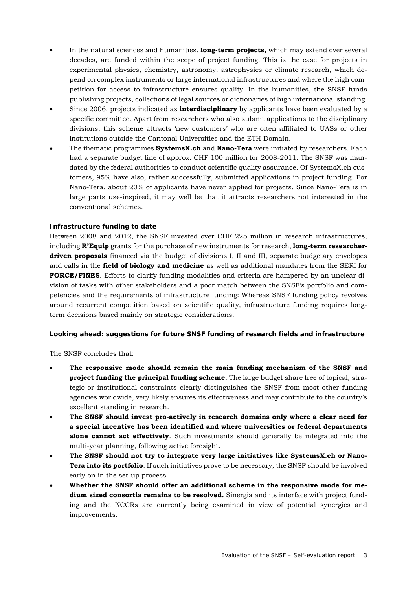- In the natural sciences and humanities, **long-term projects,** which may extend over several decades, are funded within the scope of project funding. This is the case for projects in experimental physics, chemistry, astronomy, astrophysics or climate research, which depend on complex instruments or large international infrastructures and where the high competition for access to infrastructure ensures quality. In the humanities, the SNSF funds publishing projects, collections of legal sources or dictionaries of high international standing.
- Since 2006, projects indicated as **interdisciplinary** by applicants have been evaluated by a specific committee. Apart from researchers who also submit applications to the disciplinary divisions, this scheme attracts 'new customers' who are often affiliated to UASs or other institutions outside the Cantonal Universities and the ETH Domain.
- The thematic programmes **SystemsX.ch** and **Nano-Tera** were initiated by researchers. Each had a separate budget line of approx. CHF 100 million for 2008-2011. The SNSF was mandated by the federal authorities to conduct scientific quality assurance. Of SystemsX.ch customers, 95% have also, rather successfully, submitted applications in project funding. For Nano-Tera, about 20% of applicants have never applied for projects. Since Nano-Tera is in large parts use-inspired, it may well be that it attracts researchers not interested in the conventional schemes.

#### **Infrastructure funding to date**

Between 2008 and 2012, the SNSF invested over CHF 225 million in research infrastructures, including **R'Equip** grants for the purchase of new instruments for research, **long-term researcherdriven proposals** financed via the budget of divisions I, II and III, separate budgetary envelopes and calls in the **field of biology and medicine** as well as additional mandates from the SERI for **FORCE/FINES**. Efforts to clarify funding modalities and criteria are hampered by an unclear division of tasks with other stakeholders and a poor match between the SNSF's portfolio and competencies and the requirements of infrastructure funding: Whereas SNSF funding policy revolves around recurrent competition based on scientific quality, infrastructure funding requires longterm decisions based mainly on strategic considerations.

#### **Looking ahead: suggestions for future SNSF funding of research fields and infrastructure**

The SNSF concludes that:

- **The responsive mode should remain the main funding mechanism of the SNSF and project funding the principal funding scheme.** The large budget share free of topical, strategic or institutional constraints clearly distinguishes the SNSF from most other funding agencies worldwide, very likely ensures its effectiveness and may contribute to the country's excellent standing in research.
- **The SNSF should invest pro-actively in research domains only where a clear need for a special incentive has been identified and where universities or federal departments alone cannot act effectively**. Such investments should generally be integrated into the multi-year planning, following active foresight.
- **The SNSF should not try to integrate very large initiatives like SystemsX.ch or Nano-Tera into its portfolio**. If such initiatives prove to be necessary, the SNSF should be involved early on in the set-up process.
- **Whether the SNSF should offer an additional scheme in the responsive mode for medium sized consortia remains to be resolved.** Sinergia and its interface with project funding and the NCCRs are currently being examined in view of potential synergies and improvements.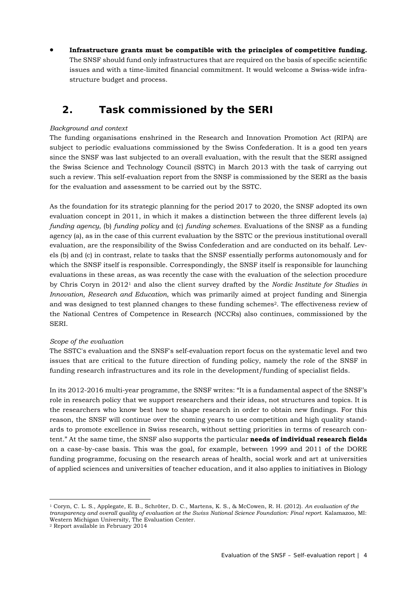**Infrastructure grants must be compatible with the principles of competitive funding.** The SNSF should fund only infrastructures that are required on the basis of specific scientific issues and with a time-limited financial commitment. It would welcome a Swiss-wide infrastructure budget and process.

## **2. Task commissioned by the SERI**

#### *Background and context*

The funding organisations enshrined in the Research and Innovation Promotion Act (RIPA) are subject to periodic evaluations commissioned by the Swiss Confederation. It is a good ten years since the SNSF was last subjected to an overall evaluation, with the result that the SERI assigned the Swiss Science and Technology Council (SSTC) in March 2013 with the task of carrying out such a review. This self-evaluation report from the SNSF is commissioned by the SERI as the basis for the evaluation and assessment to be carried out by the SSTC.

As the foundation for its strategic planning for the period 2017 to 2020, the SNSF adopted its own evaluation concept in 2011, in which it makes a distinction between the three different levels (a) *funding agency*, (b) *funding policy* and (c) *funding schemes.* Evaluations of the SNSF as a funding agency (a), as in the case of this current evaluation by the SSTC or the previous institutional overall evaluation, are the responsibility of the Swiss Confederation and are conducted on its behalf. Levels (b) and (c) in contrast, relate to tasks that the SNSF essentially performs autonomously and for which the SNSF itself is responsible. Correspondingly, the SNSF itself is responsible for launching evaluations in these areas, as was recently the case with the evaluation of the selection procedure by Chris Coryn in 20121 and also the client survey drafted by the *Nordic Institute for Studies in Innovation, Research and Education*, which was primarily aimed at project funding and Sinergia and was designed to test planned changes to these funding schemes<sup>2</sup>. The effectiveness review of the National Centres of Competence in Research (NCCRs) also continues, commissioned by the SERI.

#### *Scope of the evaluation*

The SSTC's evaluation and the SNSF's self-evaluation report focus on the systematic level and two issues that are critical to the future direction of funding policy, namely the role of the SNSF in funding research infrastructures and its role in the development/funding of specialist fields.

In its 2012-2016 multi-year programme, the SNSF writes: "It is a fundamental aspect of the SNSF's role in research policy that we support researchers and their ideas, not structures and topics. It is the researchers who know best how to shape research in order to obtain new findings. For this reason, the SNSF will continue over the coming years to use competition and high quality standards to promote excellence in Swiss research, without setting priorities in terms of research content." At the same time, the SNSF also supports the particular **needs of individual research fields** on a case-by-case basis. This was the goal, for example, between 1999 and 2011 of the DORE funding programme, focusing on the research areas of health, social work and art at universities of applied sciences and universities of teacher education, and it also applies to initiatives in Biology

1

<sup>1</sup> Coryn, C. L. S., Applegate, E. B., Schröter, D. C., Martens, K. S., & McCowen, R. H. (2012). *An evaluation of the transparency and overall quality of evaluation at the Swiss National Science Foundation: Final report*. Kalamazoo, MI: Western Michigan University, The Evaluation Center.

<sup>2</sup> Report available in February 2014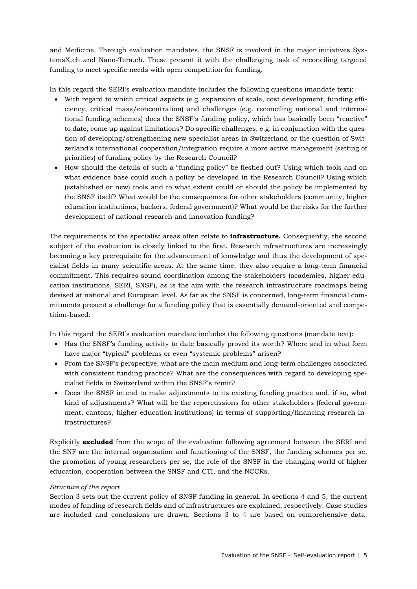and Medicine. Through evaluation mandates, the SNSF is involved in the major initiatives SystemsX.ch and Nano-Tera.ch. These present it with the challenging task of reconciling targeted funding to meet specific needs with open competition for funding.

In this regard the SERI's evaluation mandate includes the following questions (mandate text):

- With regard to which critical aspects (e.g. expansion of scale, cost development, funding efficiency, critical mass/concentration) and challenges (e.g. reconciling national and international funding schemes) does the SNSF's funding policy, which has basically been "reactive" to date, come up against limitations? Do specific challenges, e.g. in conjunction with the question of developing/strengthening new specialist areas in Switzerland or the question of Switzerland's international cooperation/integration require a more active management (setting of priorities) of funding policy by the Research Council?
- How should the details of such a "funding policy" be fleshed out? Using which tools and on what evidence base could such a policy be developed in the Research Council? Using which (established or new) tools and to what extent could or should the policy be implemented by the SNSF itself? What would be the consequences for other stakeholders (community, higher education institutions, backers, federal government)? What would be the risks for the further development of national research and innovation funding?

The requirements of the specialist areas often relate to **infrastructure.** Consequently, the second subject of the evaluation is closely linked to the first. Research infrastructures are increasingly becoming a key prerequisite for the advancement of knowledge and thus the development of specialist fields in many scientific areas. At the same time, they also require a long-term financial commitment. This requires sound coordination among the stakeholders (academies, higher education institutions, SERI, SNSF), as is the aim with the research infrastructure roadmaps being devised at national and European level. As far as the SNSF is concerned, long-term financial commitments present a challenge for a funding policy that is essentially demand-oriented and competition-based.

In this regard the SERI's evaluation mandate includes the following questions (mandate text):

- Has the SNSF's funding activity to date basically proved its worth? Where and in what form have major "typical" problems or even "systemic problems" arisen?
- From the SNSF's perspective, what are the main medium and long-term challenges associated with consistent funding practice? What are the consequences with regard to developing specialist fields in Switzerland within the SNSF's remit?
- Does the SNSF intend to make adjustments to its existing funding practice and, if so, what kind of adjustments? What will be the repercussions for other stakeholders (federal government, cantons, higher education institutions) in terms of supporting/financing research infrastructures?

Explicitly **excluded** from the scope of the evaluation following agreement between the SERI and the SNF are the internal organisation and functioning of the SNSF, the funding schemes per se, the promotion of young researchers per se, the role of the SNSF in the changing world of higher education, cooperation between the SNSF and CTI, and the NCCRs.

#### *Structure of the report*

Section 3 sets out the current policy of SNSF funding in general. In sections 4 and 5, the current modes of funding of research fields and of infrastructures are explained, respectively. Case studies are included and conclusions are drawn. Sections 3 to 4 are based on comprehensive data.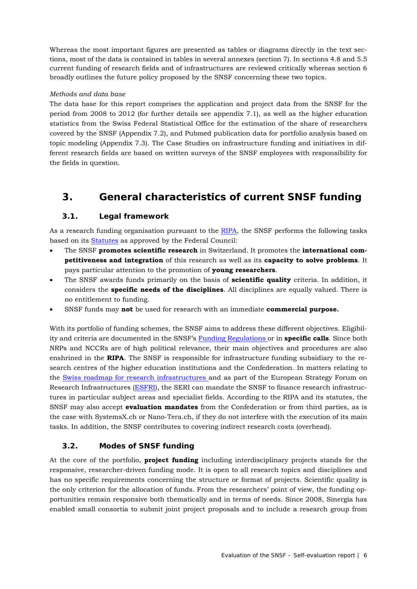Whereas the most important figures are presented as tables or diagrams directly in the text sections, most of the data is contained in tables in several annexes (section 7). In sections 4.8 and 5.5 current funding of research fields and of infrastructures are reviewed critically whereas section 6 broadly outlines the future policy proposed by the SNSF concerning these two topics.

#### *Methods and data base*

The data base for this report comprises the application and project data from the SNSF for the period from 2008 to 2012 (for further details see appendix 7.1), as well as the higher education statistics from the Swiss Federal Statistical Office for the estimation of the share of researchers covered by the SNSF (Appendix 7.2), and Pubmed publication data for portfolio analysis based on topic modeling (Appendix 7.3). The Case Studies on infrastructure funding and initiatives in different research fields are based on written surveys of the SNSF employees with responsibility for the fields in question.

## **3. General characteristics of current SNSF funding**

## **3.1. Legal framework**

As a research funding organisation pursuant to the RIPA, the SNSF performs the following tasks based on its Statutes as approved by the Federal Council:

- The SNSF **promotes scientific research** in Switzerland. It promotes the **international competitiveness and integration** of this research as well as its **capacity to solve problems**. It pays particular attention to the promotion of **young researchers**.
- The SNSF awards funds primarily on the basis of **scientific quality** criteria. In addition, it considers the **specific needs of the disciplines**. All disciplines are equally valued. There is no entitlement to funding.
- SNSF funds may **not** be used for research with an immediate **commercial purpose.**

With its portfolio of funding schemes, the SNSF aims to address these different objectives. Eligibility and criteria are documented in the SNSF's Funding Regulations or in **specific calls**. Since both NRPs and NCCRs are of high political relevance, their main objectives and procedures are also enshrined in the **RIPA**. The SNSF is responsible for infrastructure funding subsidiary to the research centres of the higher education institutions and the Confederation. In matters relating to the Swiss roadmap for research infrastructures and as part of the European Strategy Forum on Research Infrastructures (ESFRI), the SERI can mandate the SNSF to finance research infrastructures in particular subject areas and specialist fields. According to the RIPA and its statutes, the SNSF may also accept **evaluation mandates** from the Confederation or from third parties, as is the case with SystemsX.ch or Nano-Tera.ch, if they do not interfere with the execution of its main tasks. In addition, the SNSF contributes to covering indirect research costs (overhead).

## **3.2. Modes of SNSF funding**

At the core of the portfolio, **project funding** including interdisciplinary projects stands for the responsive, researcher-driven funding mode. It is open to all research topics and disciplines and has no specific requirements concerning the structure or format of projects. Scientific quality is the only criterion for the allocation of funds. From the researchers' point of view, the funding opportunities remain responsive both thematically and in terms of needs. Since 2008, Sinergia has enabled small consortia to submit joint project proposals and to include a research group from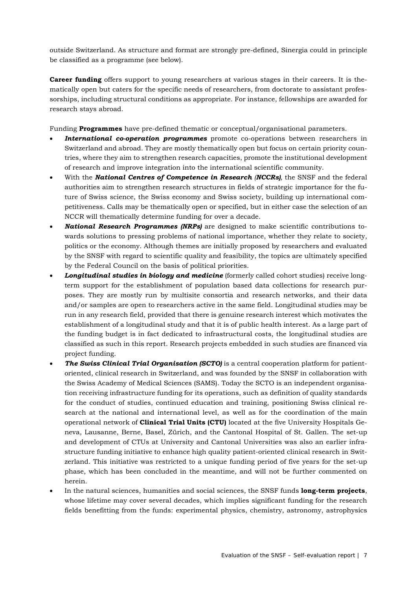outside Switzerland. As structure and format are strongly pre-defined, Sinergia could in principle be classified as a programme (see below).

**Career funding** offers support to young researchers at various stages in their careers. It is thematically open but caters for the specific needs of researchers, from doctorate to assistant professorships, including structural conditions as appropriate. For instance, fellowships are awarded for research stays abroad.

Funding **Programmes** have pre-defined thematic or conceptual/organisational parameters.

- *International co-operation programmes* promote co-operations between researchers in Switzerland and abroad. They are mostly thematically open but focus on certain priority countries, where they aim to strengthen research capacities, promote the institutional development of research and improve integration into the international scientific community.
- With the *National Centres of Competence in Research (NCCRs),* the SNSF and the federal authorities aim to strengthen research structures in fields of strategic importance for the future of Swiss science, the Swiss economy and Swiss society, building up international competitiveness. Calls may be thematically open or specified, but in either case the selection of an NCCR will thematically determine funding for over a decade.
- *National Research Programmes (NRPs)* are designed to make scientific contributions towards solutions to pressing problems of national importance, whether they relate to society, politics or the economy. Although themes are initially proposed by researchers and evaluated by the SNSF with regard to scientific quality and feasibility, the topics are ultimately specified by the Federal Council on the basis of political priorities.
- *Longitudinal studies in biology and medicine* (formerly called cohort studies) receive longterm support for the establishment of population based data collections for research purposes. They are mostly run by multisite consortia and research networks, and their data and/or samples are open to researchers active in the same field. Longitudinal studies may be run in any research field, provided that there is genuine research interest which motivates the establishment of a longitudinal study and that it is of public health interest. As a large part of the funding budget is in fact dedicated to infrastructural costs, the longitudinal studies are classified as such in this report. Research projects embedded in such studies are financed via project funding.
- *The Swiss Clinical Trial Organisation (SCTO)* is a central cooperation platform for patientoriented, clinical research in Switzerland, and was founded by the SNSF in collaboration with the Swiss Academy of Medical Sciences (SAMS). Today the SCTO is an independent organisation receiving infrastructure funding for its operations, such as definition of quality standards for the conduct of studies, continued education and training, positioning Swiss clinical research at the national and international level, as well as for the coordination of the main operational network of **Clinical Trial Units (CTU)** located at the five University Hospitals Geneva, Lausanne, Berne, Basel, Zürich, and the Cantonal Hospital of St. Gallen. The set-up and development of CTUs at University and Cantonal Universities was also an earlier infrastructure funding initiative to enhance high quality patient-oriented clinical research in Switzerland. This initiative was restricted to a unique funding period of five years for the set-up phase, which has been concluded in the meantime, and will not be further commented on herein.
- In the natural sciences, humanities and social sciences, the SNSF funds **long-term projects**, whose lifetime may cover several decades, which implies significant funding for the research fields benefitting from the funds: experimental physics, chemistry, astronomy, astrophysics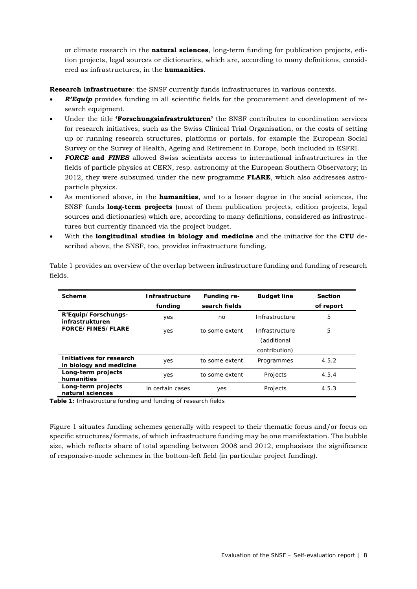or climate research in the **natural sciences**, long-term funding for publication projects, edition projects, legal sources or dictionaries, which are, according to many definitions, considered as infrastructures, in the **humanities**.

**Research infrastructure**: the SNSF currently funds infrastructures in various contexts.

- *R'Equip* provides funding in all scientific fields for the procurement and development of research equipment.
- Under the title **'Forschungsinfrastrukturen'** the SNSF contributes to coordination services for research initiatives, such as the Swiss Clinical Trial Organisation, or the costs of setting up or running research structures, platforms or portals, for example the European Social Survey or the Survey of Health, Ageing and Retirement in Europe, both included in ESFRI.
- *FORCE* **and** *FINES* allowed Swiss scientists access to international infrastructures in the fields of particle physics at CERN, resp. astronomy at the European Southern Observatory; in 2012, they were subsumed under the new programme **FLARE**, which also addresses astroparticle physics.
- As mentioned above, in the **humanities**, and to a lesser degree in the social sciences, the SNSF funds **long-term projects** (most of them publication projects, edition projects, legal sources and dictionaries) which are, according to many definitions, considered as infrastructures but currently financed via the project budget.
- With the **longitudinal studies in biology and medicine** and the initiative for the **CTU** described above, the SNSF, too, provides infrastructure funding.

| Scheme                                              | <b>Infrastructure</b><br>funding | Funding re-<br>search fields | <b>Budget line</b> | Section<br>of report |
|-----------------------------------------------------|----------------------------------|------------------------------|--------------------|----------------------|
|                                                     |                                  |                              |                    |                      |
| R'Equip/Forschungs-<br>infrastrukturen              | yes                              | no                           | Infrastructure     | 5                    |
| FORCE/FINES/FLARE                                   | yes                              | to some extent               | Infrastructure     | 5                    |
|                                                     |                                  |                              | (additional        |                      |
|                                                     |                                  |                              | contribution)      |                      |
| Initiatives for research<br>in biology and medicine | yes                              | to some extent               | Programmes         | 4.5.2                |
| Long-term projects<br>humanities                    | yes                              | to some extent               | Projects           | 4.5.4                |
| Long-term projects<br>natural sciences              | in certain cases                 | yes                          | Projects           | 4.5.3                |

Table 1 provides an overview of the overlap between infrastructure funding and funding of research fields.

**Table 1:** Infrastructure funding and funding of research fields

Figure 1 situates funding schemes generally with respect to their thematic focus and/or focus on specific structures/formats, of which infrastructure funding may be one manifestation. The bubble size, which reflects share of total spending between 2008 and 2012, emphasises the significance of responsive-mode schemes in the bottom-left field (in particular project funding).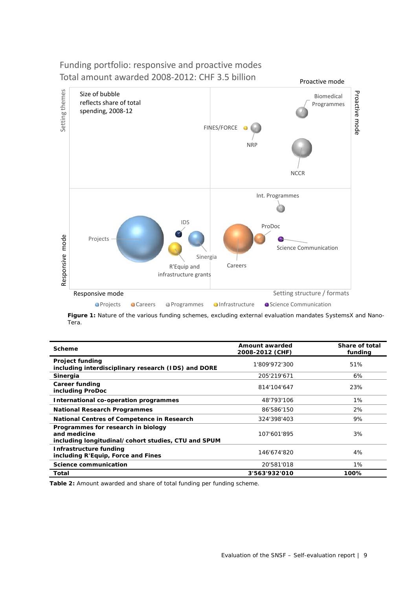## Funding portfolio: responsive and proactive modes Total amount awarded 2008‐2012: CHF 3.5 billion



**Figure 1:** Nature of the various funding schemes, excluding external evaluation mandates SystemsX and Nano-Tera.

| <b>Scheme</b>                                                                                             | Amount awarded<br>2008-2012 (CHF) | Share of total<br>funding |
|-----------------------------------------------------------------------------------------------------------|-----------------------------------|---------------------------|
| <b>Project funding</b><br>including interdisciplinary research (IDS) and DORE                             | 1'809'972'300                     | 51%                       |
| Sinergia                                                                                                  | 205'219'671                       | 6%                        |
| Career funding<br>including ProDoc                                                                        | 814'104'647                       | 23%                       |
| International co-operation programmes                                                                     | 48'793'106                        | 1%                        |
| <b>National Research Programmes</b>                                                                       | 86'586'150                        | 2%                        |
| National Centres of Competence in Research                                                                | 324'398'403                       | 9%                        |
| Programmes for research in biology<br>and medicine<br>including longitudinal/cohort studies, CTU and SPUM | 107'601'895                       | 3%                        |
| Infrastructure funding<br>including R'Equip, Force and Fines                                              | 146'674'820                       | 4%                        |
| Science communication                                                                                     | 20'581'018                        | 1%                        |
| Total                                                                                                     | 3'563'932'010                     | 100%                      |

**Table 2:** Amount awarded and share of total funding per funding scheme.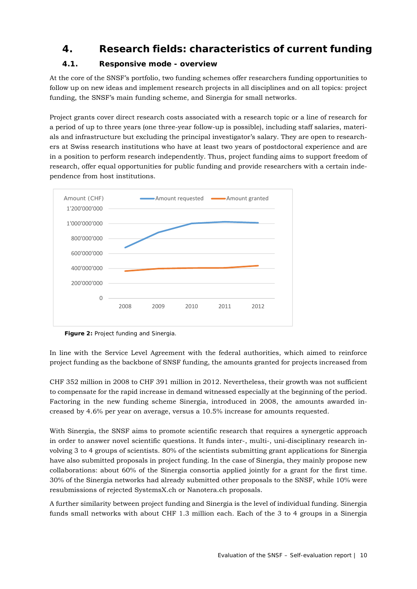## **4. Research fields: characteristics of current funding**

## **4.1. Responsive mode - overview**

At the core of the SNSF's portfolio, two funding schemes offer researchers funding opportunities to follow up on new ideas and implement research projects in all disciplines and on all topics: project funding, the SNSF's main funding scheme, and Sinergia for small networks.

Project grants cover direct research costs associated with a research topic or a line of research for a period of up to three years (one three-year follow-up is possible), including staff salaries, materials and infrastructure but excluding the principal investigator's salary. They are open to researchers at Swiss research institutions who have at least two years of postdoctoral experience and are in a position to perform research independently. Thus, project funding aims to support freedom of research, offer equal opportunities for public funding and provide researchers with a certain independence from host institutions.



**Figure 2:** Project funding and Sinergia.

In line with the Service Level Agreement with the federal authorities, which aimed to reinforce project funding as the backbone of SNSF funding, the amounts granted for projects increased from

CHF 352 million in 2008 to CHF 391 million in 2012. Nevertheless, their growth was not sufficient to compensate for the rapid increase in demand witnessed especially at the beginning of the period. Factoring in the new funding scheme Sinergia, introduced in 2008, the amounts awarded increased by 4.6% per year on average, versus a 10.5% increase for amounts requested.

With Sinergia, the SNSF aims to promote scientific research that requires a synergetic approach in order to answer novel scientific questions. It funds inter-, multi-, uni-disciplinary research involving 3 to 4 groups of scientists. 80% of the scientists submitting grant applications for Sinergia have also submitted proposals in project funding. In the case of Sinergia, they mainly propose new collaborations: about 60% of the Sinergia consortia applied jointly for a grant for the first time. 30% of the Sinergia networks had already submitted other proposals to the SNSF, while 10% were resubmissions of rejected SystemsX.ch or Nanotera.ch proposals.

A further similarity between project funding and Sinergia is the level of individual funding. Sinergia funds small networks with about CHF 1.3 million each. Each of the 3 to 4 groups in a Sinergia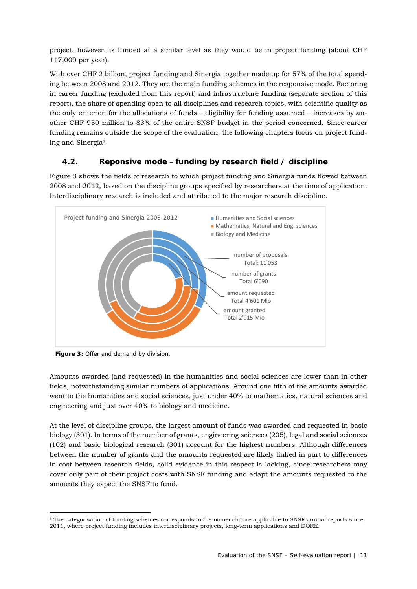project, however, is funded at a similar level as they would be in project funding (about CHF 117,000 per year).

With over CHF 2 billion, project funding and Sinergia together made up for 57% of the total spending between 2008 and 2012. They are the main funding schemes in the responsive mode. Factoring in career funding (excluded from this report) and infrastructure funding (separate section of this report), the share of spending open to all disciplines and research topics, with scientific quality as the only criterion for the allocations of funds – eligibility for funding assumed – increases by another CHF 950 million to 83% of the entire SNSF budget in the period concerned. Since career funding remains outside the scope of the evaluation, the following chapters focus on project funding and Sinergia3

## **4.2. Reponsive mode** – **funding by research field / discipline**

Figure 3 shows the fields of research to which project funding and Sinergia funds flowed between 2008 and 2012, based on the discipline groups specified by researchers at the time of application. Interdisciplinary research is included and attributed to the major research discipline.



**Figure 3:** Offer and demand by division.

Amounts awarded (and requested) in the humanities and social sciences are lower than in other fields, notwithstanding similar numbers of applications. Around one fifth of the amounts awarded went to the humanities and social sciences, just under 40% to mathematics, natural sciences and engineering and just over 40% to biology and medicine.

At the level of discipline groups, the largest amount of funds was awarded and requested in basic biology (301). In terms of the number of grants, engineering sciences (205), legal and social sciences (102) and basic biological research (301) account for the highest numbers. Although differences between the number of grants and the amounts requested are likely linked in part to differences in cost between research fields, solid evidence in this respect is lacking, since researchers may cover only part of their project costs with SNSF funding and adapt the amounts requested to the amounts they expect the SNSF to fund.

<sup>1</sup> <sup>3</sup> The categorisation of funding schemes corresponds to the nomenclature applicable to SNSF annual reports since 2011, where project funding includes interdisciplinary projects, long-term applications and DORE.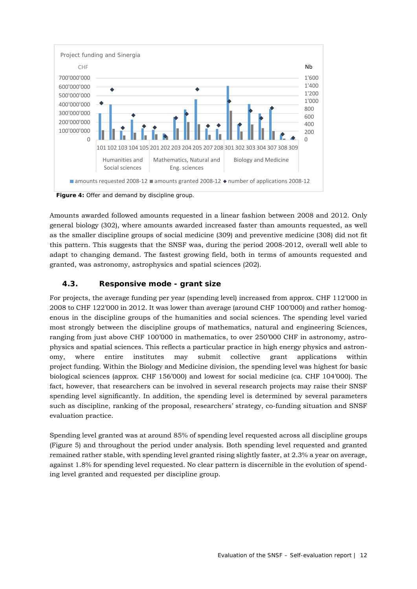

**Figure 4:** Offer and demand by discipline group.

Amounts awarded followed amounts requested in a linear fashion between 2008 and 2012. Only general biology (302), where amounts awarded increased faster than amounts requested, as well as the smaller discipline groups of social medicine (309) and preventive medicine (308) did not fit this pattern. This suggests that the SNSF was, during the period 2008-2012, overall well able to adapt to changing demand. The fastest growing field, both in terms of amounts requested and granted, was astronomy, astrophysics and spatial sciences (202).

## **4.3. Responsive mode - grant size**

For projects, the average funding per year (spending level) increased from approx. CHF 112'000 in 2008 to CHF 122'000 in 2012. It was lower than average (around CHF 100'000) and rather homogenous in the discipline groups of the humanities and social sciences. The spending level varied most strongly between the discipline groups of mathematics, natural and engineering Sciences, ranging from just above CHF 100'000 in mathematics, to over 250'000 CHF in astronomy, astrophysics and spatial sciences. This reflects a particular practice in high energy physics and astronomy, where entire institutes may submit collective grant applications within project funding. Within the Biology and Medicine division, the spending level was highest for basic biological sciences (approx. CHF 156'000) and lowest for social medicine (ca. CHF 104'000). The fact, however, that researchers can be involved in several research projects may raise their SNSF spending level significantly. In addition, the spending level is determined by several parameters such as discipline, ranking of the proposal, researchers' strategy, co-funding situation and SNSF evaluation practice.

Spending level granted was at around 85% of spending level requested across all discipline groups (Figure 5) and throughout the period under analysis. Both spending level requested and granted remained rather stable, with spending level granted rising slightly faster, at 2.3% a year on average, against 1.8% for spending level requested. No clear pattern is discernible in the evolution of spending level granted and requested per discipline group.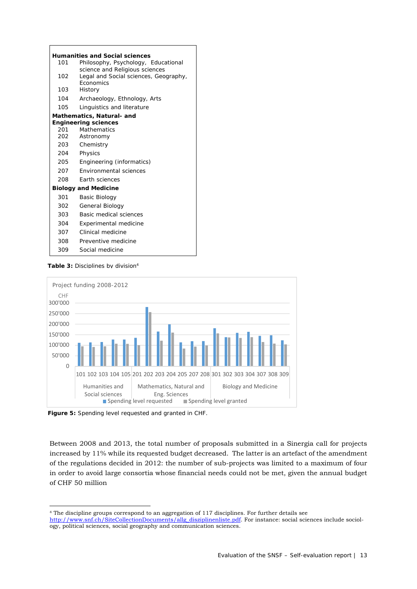|     | <b>Humanities and Social sciences</b>                                                       |
|-----|---------------------------------------------------------------------------------------------|
| 101 | Philosophy, Psychology, Educational                                                         |
| 102 | science and Religious sciences<br>Legal and Social sciences, Geography,<br><b>Economics</b> |
| 103 | History                                                                                     |
| 104 | Archaeology, Ethnology, Arts                                                                |
| 105 | Linguistics and literature                                                                  |
|     | <b>Mathematics, Natural- and</b>                                                            |
|     | <b>Engineering sciences</b>                                                                 |
| 201 | <b>Mathematics</b>                                                                          |
| 202 | Astronomy                                                                                   |
| 203 | Chemistry                                                                                   |
| 204 | Physics                                                                                     |
| 205 | Engineering (informatics)                                                                   |
| 207 | Environmental sciences                                                                      |
| 208 | Earth sciences                                                                              |
|     | <b>Biology and Medicine</b>                                                                 |
| 301 | Basic Biology                                                                               |
| 302 | General Biology                                                                             |
| 303 | Basic medical sciences                                                                      |
| 304 | <b>Experimental medicine</b>                                                                |
| 307 | Clinical medicine                                                                           |
| 308 | Preventive medicine                                                                         |
| 309 | Social medicine                                                                             |



1



**Figure 5:** Spending level requested and granted in CHF.

Between 2008 and 2013, the total number of proposals submitted in a Sinergia call for projects increased by 11% while its requested budget decreased. The latter is an artefact of the amendment of the regulations decided in 2012: the number of sub-projects was limited to a maximum of four in order to avoid large consortia whose financial needs could not be met, given the annual budget of CHF 50 million

<sup>4</sup> The discipline groups correspond to an aggregation of 117 disciplines. For further details see http://www.snf.ch/SiteCollectionDocuments/allg\_disziplinenliste.pdf. For instance: social sciences include sociology, political sciences, social geography and communication sciences.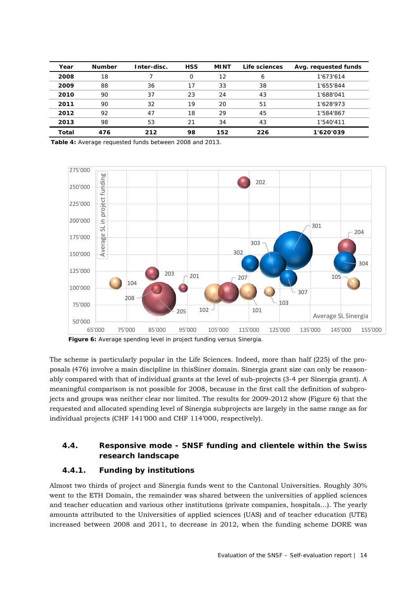| Year  | <b>Number</b> | Inter-disc. | <b>HSS</b> | <b>MINT</b> | Life sciences | Avg. requested funds |
|-------|---------------|-------------|------------|-------------|---------------|----------------------|
| 2008  | 18            |             |            | 12          | 6             | 1'673'614            |
| 2009  | 88            | 36          | 17         | 33          | 38            | 1'655'844            |
| 2010  | 90            | 37          | 23         | 24          | 43            | 1'688'041            |
| 2011  | 90            | 32          | 19         | 20          | 51            | 1'628'973            |
| 2012  | 92            | 47          | 18         | 29          | 45            | 1'584'867            |
| 2013  | 98            | 53          | 21         | 34          | 43            | 1'540'411            |
| Total | 476           | 212         | 98         | 152         | 226           | 1'620'039            |

**Table 4:** Average requested funds between 2008 and 2013.



**Figure 6:** Average spending level in project funding versus Sinergia.

The scheme is particularly popular in the Life Sciences. Indeed, more than half (225) of the proposals (476) involve a main discipline in thisSiner domain. Sinergia grant size can only be reasonably compared with that of individual grants at the level of sub-projects (3-4 per Sinergia grant). A meaningful comparison is not possible for 2008, because in the first call the definition of subprojects and groups was neither clear nor limited. The results for 2009-2012 show (Figure 6) that the requested and allocated spending level of Sinergia subprojects are largely in the same range as for individual projects (CHF 141'000 and CHF 114'000, respectively).

## **4.4. Responsive mode - SNSF funding and clientele within the Swiss research landscape**

#### **4.4.1. Funding by institutions**

Almost two thirds of project and Sinergia funds went to the Cantonal Universities. Roughly 30% went to the ETH Domain, the remainder was shared between the universities of applied sciences and teacher education and various other institutions (private companies, hospitals…). The yearly amounts attributed to the Universities of applied sciences (UAS) and of teacher education (UTE) increased between 2008 and 2011, to decrease in 2012, when the funding scheme DORE was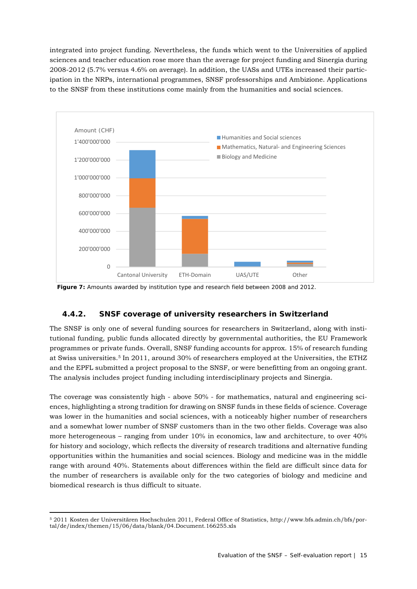integrated into project funding. Nevertheless, the funds which went to the Universities of applied sciences and teacher education rose more than the average for project funding and Sinergia during 2008-2012 (5.7% versus 4.6% on average). In addition, the UASs and UTEs increased their participation in the NRPs, international programmes, SNSF professorships and Ambizione. Applications to the SNSF from these institutions come mainly from the humanities and social sciences.



**Figure 7:** Amounts awarded by institution type and research field between 2008 and 2012.

## **4.4.2. SNSF coverage of university researchers in Switzerland**

The SNSF is only one of several funding sources for researchers in Switzerland, along with institutional funding, public funds allocated directly by governmental authorities, the EU Framework programmes or private funds. Overall, SNSF funding accounts for approx. 15% of research funding at Swiss universities.5 In 2011, around 30% of researchers employed at the Universities, the ETHZ and the EPFL submitted a project proposal to the SNSF, or were benefitting from an ongoing grant. The analysis includes project funding including interdisciplinary projects and Sinergia.

The coverage was consistently high - above 50% - for mathematics, natural and engineering sciences, highlighting a strong tradition for drawing on SNSF funds in these fields of science. Coverage was lower in the humanities and social sciences, with a noticeably higher number of researchers and a somewhat lower number of SNSF customers than in the two other fields. Coverage was also more heterogeneous – ranging from under 10% in economics, law and architecture, to over 40% for history and sociology, which reflects the diversity of research traditions and alternative funding opportunities within the humanities and social sciences. Biology and medicine was in the middle range with around 40%. Statements about differences within the field are difficult since data for the number of researchers is available only for the two categories of biology and medicine and biomedical research is thus difficult to situate.

<sup>1</sup> 5 2011 Kosten der Universitären Hochschulen 2011, Federal Office of Statistics, http://www.bfs.admin.ch/bfs/portal/de/index/themen/15/06/data/blank/04.Document.166255.xls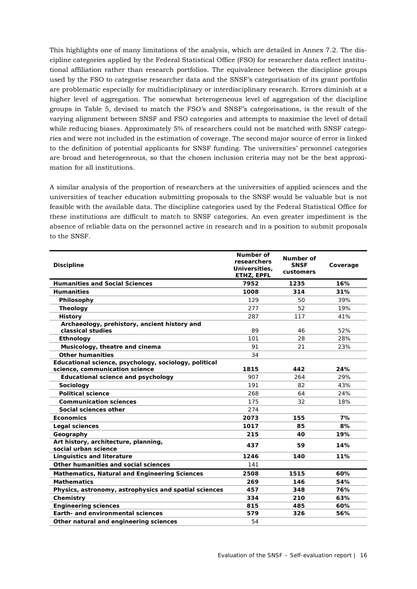This highlights one of many limitations of the analysis, which are detailed in Annex 7.2. The discipline categories applied by the Federal Statistical Office (FSO) for researcher data reflect institutional affiliation rather than research portfolios. The equivalence between the discipline groups used by the FSO to categorise researcher data and the SNSF's categorisation of its grant portfolio are problematic especially for multidisciplinary or interdisciplinary research. Errors diminish at a higher level of aggregation. The somewhat heterogeneous level of aggregation of the discipline groups in Table 5, devised to match the FSO's and SNSF's categorisations, is the result of the varying alignment between SNSF and FSO categories and attempts to maximise the level of detail while reducing biases. Approximately 5% of researchers could not be matched with SNSF categories and were not included in the estimation of coverage. The second major source of error is linked to the definition of potential applicants for SNSF funding. The universities' personnel categories are broad and heterogeneous, so that the chosen inclusion criteria may not be the best approximation for all institutions.

A similar analysis of the proportion of researchers at the universities of applied sciences and the universities of teacher education submitting proposals to the SNSF would be valuable but is not feasible with the available data. The discipline categories used by the Federal Statistical Office for these institutions are difficult to match to SNSF categories. An even greater impediment is the absence of reliable data on the personnel active in research and in a position to submit proposals to the SNSF.

| <b>Discipline</b>                                                                       | Number of<br>researchers<br>Universities,<br>ETHZ, EPFL | Number of<br><b>SNSF</b><br>customers | Coverage |
|-----------------------------------------------------------------------------------------|---------------------------------------------------------|---------------------------------------|----------|
| <b>Humanities and Social Sciences</b>                                                   | 7952                                                    | 1235                                  | 16%      |
| <b>Humanities</b>                                                                       | 1008                                                    | 314                                   | 31%      |
| Philosophy                                                                              | 129                                                     | 50                                    | 39%      |
| <b>Theology</b>                                                                         | 277                                                     | 52                                    | 19%      |
| <b>History</b>                                                                          | 287                                                     | 117                                   | 41%      |
| Archaeology, prehistory, ancient history and<br>classical studies                       | 89                                                      | 46                                    | 52%      |
| Ethnology                                                                               | 101                                                     | 28                                    | 28%      |
| Musicology, theatre and cinema                                                          | 91                                                      | 21                                    | 23%      |
| <b>Other humanities</b>                                                                 | 34                                                      |                                       |          |
| Educational science, psychology, sociology, political<br>science, communication science | 1815                                                    | 442                                   | 24%      |
| <b>Educational science and psychology</b>                                               | 907                                                     | 264                                   | 29%      |
| Sociology                                                                               | 191                                                     | 82                                    | 43%      |
| <b>Political science</b>                                                                | 268                                                     | 64                                    | 24%      |
| <b>Communication sciences</b>                                                           | 175                                                     | 32                                    | 18%      |
| Social sciences other                                                                   | 274                                                     |                                       |          |
| <b>Economics</b>                                                                        | 2073                                                    | 155                                   | 7%       |
| Legal sciences                                                                          | 1017                                                    | 85                                    | 8%       |
| Geography                                                                               | 215                                                     | 40                                    | 19%      |
| Art history, architecture, planning,<br>social urban science                            | 437                                                     | 59                                    | 14%      |
| <b>Linguistics and literature</b>                                                       | 1246                                                    | 140                                   | 11%      |
| Other humanities and social sciences                                                    | 141                                                     |                                       |          |
| <b>Mathematics, Natural and Engineering Sciences</b>                                    | 2508                                                    | 1515                                  | 60%      |
| <b>Mathematics</b>                                                                      | 269                                                     | 146                                   | 54%      |
| Physics, astronomy, astrophysics and spatial sciences                                   | 457                                                     | 348                                   | 76%      |
| Chemistry                                                                               | 334                                                     | 210                                   | 63%      |
| <b>Engineering sciences</b>                                                             | 815                                                     | 485                                   | 60%      |
| Earth- and environmental sciences                                                       | 579                                                     | 326                                   | 56%      |
| Other natural and engineering sciences                                                  | 54                                                      |                                       |          |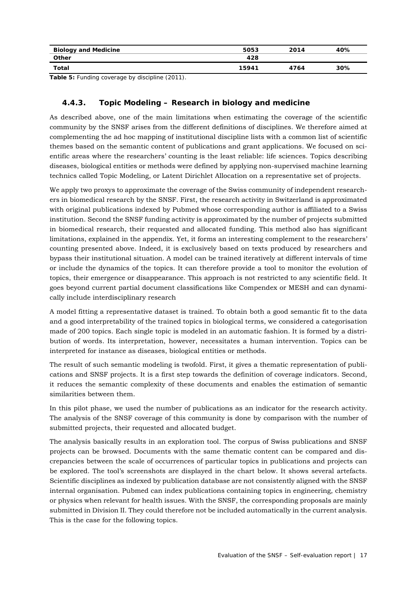| <b>Biology and Medicine</b> | 5053  | 2014 | 40% |
|-----------------------------|-------|------|-----|
| <b>Other</b>                | 428   |      |     |
| Total                       | 15941 | 4764 | 30% |

**Table 5:** Funding coverage by discipline (2011).

## **4.4.3. Topic Modeling – Research in biology and medicine**

As described above, one of the main limitations when estimating the coverage of the scientific community by the SNSF arises from the different definitions of disciplines. We therefore aimed at complementing the ad hoc mapping of institutional discipline lists with a common list of scientific themes based on the semantic content of publications and grant applications. We focused on scientific areas where the researchers' counting is the least reliable: life sciences. Topics describing diseases, biological entities or methods were defined by applying non-supervised machine learning technics called Topic Modeling, or Latent Dirichlet Allocation on a representative set of projects.

We apply two proxys to approximate the coverage of the Swiss community of independent researchers in biomedical research by the SNSF. First, the research activity in Switzerland is approximated with original publications indexed by Pubmed whose corresponding author is affiliated to a Swiss institution. Second the SNSF funding activity is approximated by the number of projects submitted in biomedical research, their requested and allocated funding. This method also has significant limitations, explained in the appendix. Yet, it forms an interesting complement to the researchers' counting presented above. Indeed, it is exclusively based on texts produced by researchers and bypass their institutional situation. A model can be trained iteratively at different intervals of time or include the dynamics of the topics. It can therefore provide a tool to monitor the evolution of topics, their emergence or disappearance. This approach is not restricted to any scientific field. It goes beyond current partial document classifications like Compendex or MESH and can dynamically include interdisciplinary research

A model fitting a representative dataset is trained. To obtain both a good semantic fit to the data and a good interpretability of the trained topics in biological terms, we considered a categorisation made of 200 topics. Each single topic is modeled in an automatic fashion. It is formed by a distribution of words. Its interpretation, however, necessitates a human intervention. Topics can be interpreted for instance as diseases, biological entities or methods.

The result of such semantic modeling is twofold. First, it gives a thematic representation of publications and SNSF projects. It is a first step towards the definition of coverage indicators. Second, it reduces the semantic complexity of these documents and enables the estimation of semantic similarities between them.

In this pilot phase, we used the number of publications as an indicator for the research activity. The analysis of the SNSF coverage of this community is done by comparison with the number of submitted projects, their requested and allocated budget.

The analysis basically results in an exploration tool. The corpus of Swiss publications and SNSF projects can be browsed. Documents with the same thematic content can be compared and discrepancies between the scale of occurrences of particular topics in publications and projects can be explored. The tool's screenshots are displayed in the chart below. It shows several artefacts. Scientific disciplines as indexed by publication database are not consistently aligned with the SNSF internal organisation. Pubmed can index publications containing topics in engineering, chemistry or physics when relevant for health issues. With the SNSF, the corresponding proposals are mainly submitted in Division II. They could therefore not be included automatically in the current analysis. This is the case for the following topics.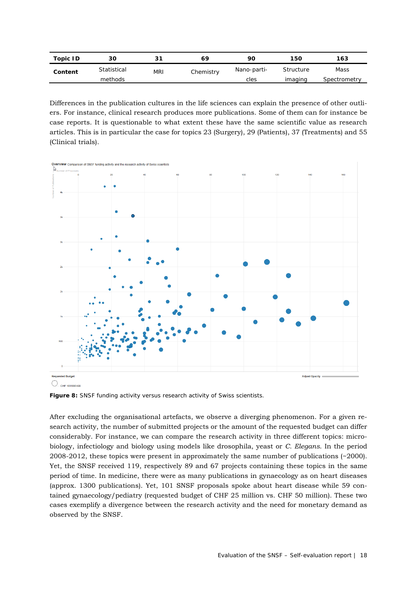| Topic ID | 30          | 21         | 69        | 90          | 150       | 163          |
|----------|-------------|------------|-----------|-------------|-----------|--------------|
| Content  | Statistical | <b>MRI</b> | Chemistry | Nano-parti- | Structure | Mass         |
|          | methods     |            |           | cles        | imaging   | Spectrometry |

Differences in the publication cultures in the life sciences can explain the presence of other outliers. For instance, clinical research produces more publications. Some of them can for instance be case reports. It is questionable to what extent these have the same scientific value as research articles. This is in particular the case for topics 23 (Surgery), 29 (Patients), 37 (Treatments) and 55 (Clinical trials).



Figure 8: SNSF funding activity versus research activity of Swiss scientists.

After excluding the organisational artefacts, we observe a diverging phenomenon. For a given research activity, the number of submitted projects or the amount of the requested budget can differ considerably. For instance, we can compare the research activity in three different topics: microbiology, infectiology and biology using models like drosophila, yeast or *C. Elegans*. In the period 2008-2012, these topics were present in approximately the same number of publications (~2000). Yet, the SNSF received 119, respectively 89 and 67 projects containing these topics in the same period of time. In medicine, there were as many publications in gynaecology as on heart diseases (approx. 1300 publications). Yet, 101 SNSF proposals spoke about heart disease while 59 contained gynaecology/pediatry (requested budget of CHF 25 million vs. CHF 50 million). These two cases exemplify a divergence between the research activity and the need for monetary demand as observed by the SNSF.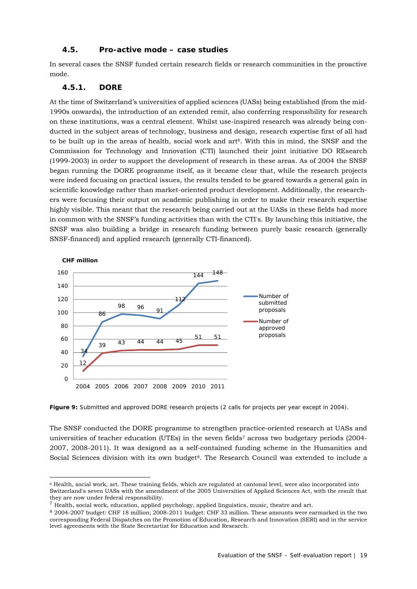#### **4.5. Pro-active mode – case studies**

In several cases the SNSF funded certain research fields or research communities in the proactive mode.

#### **4.5.1. DORE**

1

At the time of Switzerland's universities of applied sciences (UASs) being established (from the mid-1990s onwards), the introduction of an extended remit, also conferring responsibility for research on these institutions, was a central element. Whilst use-inspired research was already being conducted in the subject areas of technology, business and design, research expertise first of all had to be built up in the areas of health, social work and art<sup>6</sup>. With this in mind, the SNSF and the Commission for Technology and Innovation (CTI) launched their joint initiative DO REsearch (1999-2003) in order to support the development of research in these areas. As of 2004 the SNSF began running the DORE programme itself, as it became clear that, while the research projects were indeed focusing on practical issues, the results tended to be geared towards a general gain in scientific knowledge rather than market-oriented product development. Additionally, the researchers were focusing their output on academic publishing in order to make their research expertise highly visible. This meant that the research being carried out at the UASs in these fields had more in common with the SNSF's funding activities than with the CTI's. By launching this initiative, the SNSF was also building a bridge in research funding between purely basic research (generally SNSF-financed) and applied research (generally CTI-financed).



Figure 9: Submitted and approved DORE research projects (2 calls for projects per year except in 2004).

The SNSF conducted the DORE programme to strengthen practice-oriented research at UASs and universities of teacher education (UTEs) in the seven fields7 across two budgetary periods (2004- 2007, 2008-2011). It was designed as a self-contained funding scheme in the Humanities and Social Sciences division with its own budget<sup>8</sup>. The Research Council was extended to include a

<sup>6</sup> Health, social work, art. These training fields, which are regulated at cantonal level, were also incorporated into Switzerland's seven UASs with the amendment of the 2005 Universities of Applied Sciences Act, with the result that they are now under federal responsibility.

 $^7$  Health, social work, education, applied psychology, applied linguistics, music, theatre and art.

<sup>8</sup> 2004-2007 budget: CHF 18 million; 2008-2011 budget: CHF 33 million. These amounts were earmarked in the two corresponding Federal Dispatches on the Promotion of Education, Research and Innovation (SERI) and in the service level agreements with the State Secretartiat for Education and Research.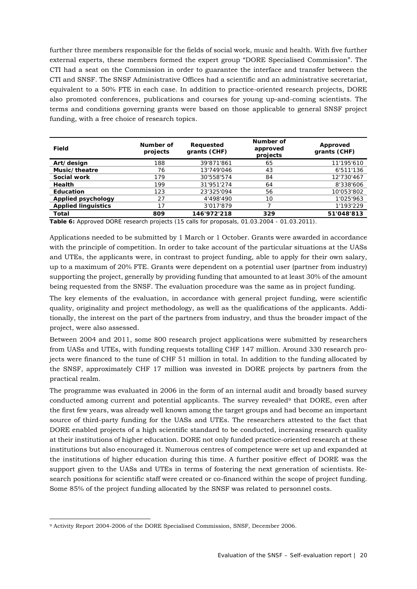further three members responsible for the fields of social work, music and health. With five further external experts, these members formed the expert group "DORE Specialised Commission". The CTI had a seat on the Commission in order to guarantee the interface and transfer between the CTI and SNSF. The SNSF Administrative Offices had a scientific and an administrative secretariat, equivalent to a 50% FTE in each case. In addition to practice-oriented research projects, DORE also promoted conferences, publications and courses for young up-and-coming scientists. The terms and conditions governing grants were based on those applicable to general SNSF project funding, with a free choice of research topics.

| Field                      | Number of<br>projects | Requested<br>grants (CHF) | Number of<br>approved<br>projects | Approved<br>grants (CHF) |
|----------------------------|-----------------------|---------------------------|-----------------------------------|--------------------------|
| Art/design                 | 188                   | 39'871'861                | 65                                | 11'195'610               |
| Music/theatre              | 76                    | 13'749'046                | 43                                | 6'511'136                |
| Social work                | 179                   | 30'558'574                | 84                                | 12'730'467               |
| Health                     | 199                   | 31'951'274                | 64                                | 8'338'606                |
| Education                  | 123                   | 23'325'094                | 56                                | 10'053'802               |
| Applied psychology         | 27                    | 4'498'490                 | 10                                | 1'025'963                |
| <b>Applied linguistics</b> | 17                    | 3'017'879                 |                                   | 1'193'229                |
| Total                      | 809                   | 146'972'218               | 329                               | 51'048'813               |

**Table 6:** Approved DORE research projects (15 calls for proposals, 01.03.2004 - 01.03.2011).

Applications needed to be submitted by 1 March or 1 October. Grants were awarded in accordance with the principle of competition. In order to take account of the particular situations at the UASs and UTEs, the applicants were, in contrast to project funding, able to apply for their own salary, up to a maximum of 20% FTE. Grants were dependent on a potential user (partner from industry) supporting the project, generally by providing funding that amounted to at least 30% of the amount being requested from the SNSF. The evaluation procedure was the same as in project funding.

The key elements of the evaluation, in accordance with general project funding, were scientific quality, originality and project methodology, as well as the qualifications of the applicants. Additionally, the interest on the part of the partners from industry, and thus the broader impact of the project, were also assessed.

Between 2004 and 2011, some 800 research project applications were submitted by researchers from UASs and UTEs, with funding requests totalling CHF 147 million. Around 330 research projects were financed to the tune of CHF 51 million in total. In addition to the funding allocated by the SNSF, approximately CHF 17 million was invested in DORE projects by partners from the practical realm.

The programme was evaluated in 2006 in the form of an internal audit and broadly based survey conducted among current and potential applicants. The survey revealed<sup>9</sup> that DORE, even after the first few years, was already well known among the target groups and had become an important source of third-party funding for the UASs and UTEs. The researchers attested to the fact that DORE enabled projects of a high scientific standard to be conducted, increasing research quality at their institutions of higher education. DORE not only funded practice-oriented research at these institutions but also encouraged it. Numerous centres of competence were set up and expanded at the institutions of higher education during this time. A further positive effect of DORE was the support given to the UASs and UTEs in terms of fostering the next generation of scientists. Research positions for scientific staff were created or co-financed within the scope of project funding. Some 85% of the project funding allocated by the SNSF was related to personnel costs.

<sup>1</sup> 9 Activity Report 2004-2006 of the DORE Specialised Commission, SNSF, December 2006.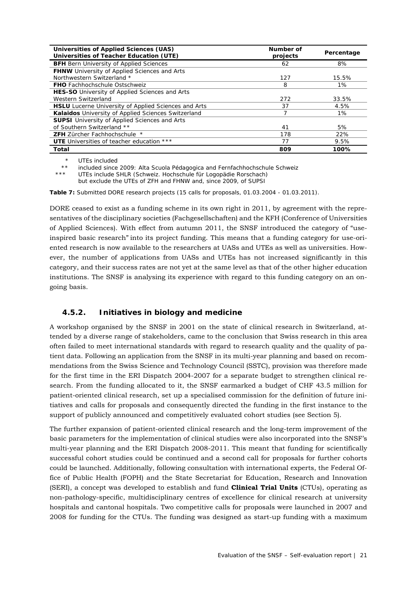| Universities of Applied Sciences (UAS)<br>Universities of Teacher Education (UTE) | Number of<br>projects | Percentage |
|-----------------------------------------------------------------------------------|-----------------------|------------|
| <b>BFH</b> Bern University of Applied Sciences                                    | 62                    | 8%         |
| FHNW University of Applied Sciences and Arts                                      |                       |            |
| Northwestern Switzerland *                                                        | 127                   | 15.5%      |
| <b>FHO</b> Fachhochschule Ostschweiz                                              | 8                     | $1\%$      |
| HES-SO University of Applied Sciences and Arts                                    |                       |            |
| Western Switzerland                                                               | 272                   | 33.5%      |
| <b>HSLU</b> Lucerne University of Applied Sciences and Arts                       | 37                    | 4.5%       |
| Kalaidos University of Applied Sciences Switzerland                               |                       | 1%         |
| <b>SUPSI</b> University of Applied Sciences and Arts                              |                       |            |
| of Southern Switzerland **                                                        | 41                    | 5%         |
| <b>ZFH</b> Zürcher Fachhochschule *                                               | 178                   | 22%        |
| <b>UTE</b> Universities of teacher education ***                                  | 77                    | 9.5%       |
| Total                                                                             | 809                   | 100%       |

\* UTEs included

included since 2009: Alta Scuola Pédagogica and Fernfachhochschule Schweiz

UTEs include SHLR (Schweiz. Hochschule für Logopädie Rorschach)

but exclude the UTEs of ZFH and FHNW and, since 2009, of SUPSI

**Table 7:** Submitted DORE research projects (15 calls for proposals, 01.03.2004 - 01.03.2011).

DORE ceased to exist as a funding scheme in its own right in 2011, by agreement with the representatives of the disciplinary societies (Fachgesellschaften) and the KFH (Conference of Universities of Applied Sciences). With effect from autumn 2011, the SNSF introduced the category of "useinspired basic research" into its project funding. This means that a funding category for use-oriented research is now available to the researchers at UASs and UTEs as well as universities. However, the number of applications from UASs and UTEs has not increased significantly in this category, and their success rates are not yet at the same level as that of the other higher education institutions. The SNSF is analysing its experience with regard to this funding category on an ongoing basis.

## **4.5.2. Initiatives in biology and medicine**

A workshop organised by the SNSF in 2001 on the state of clinical research in Switzerland, attended by a diverse range of stakeholders, came to the conclusion that Swiss research in this area often failed to meet international standards with regard to research quality and the quality of patient data. Following an application from the SNSF in its multi-year planning and based on recommendations from the Swiss Science and Technology Council (SSTC), provision was therefore made for the first time in the ERI Dispatch 2004-2007 for a separate budget to strengthen clinical research. From the funding allocated to it, the SNSF earmarked a budget of CHF 43.5 million for patient-oriented clinical research, set up a specialised commission for the definition of future initiatives and calls for proposals and consequently directed the funding in the first instance to the support of publicly announced and competitively evaluated cohort studies (see Section 5).

The further expansion of patient-oriented clinical research and the long-term improvement of the basic parameters for the implementation of clinical studies were also incorporated into the SNSF's multi-year planning and the ERI Dispatch 2008-2011. This meant that funding for scientifically successful cohort studies could be continued and a second call for proposals for further cohorts could be launched. Additionally, following consultation with international experts, the Federal Office of Public Health (FOPH) and the State Secretariat for Education, Research and Innovation (SERI), a concept was developed to establish and fund **Clinical Trial Units** (CTUs), operating as non-pathology-specific, multidisciplinary centres of excellence for clinical research at university hospitals and cantonal hospitals. Two competitive calls for proposals were launched in 2007 and 2008 for funding for the CTUs. The funding was designed as start-up funding with a maximum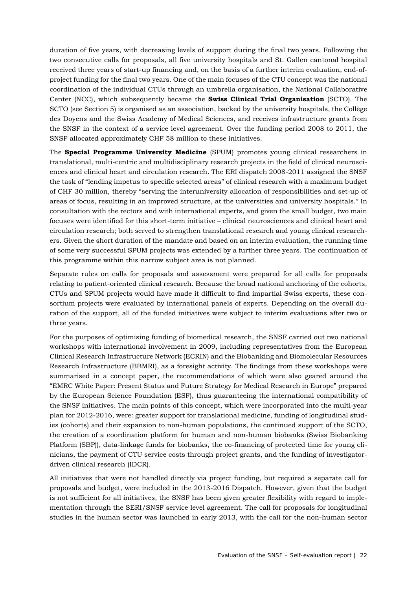duration of five years, with decreasing levels of support during the final two years. Following the two consecutive calls for proposals, all five university hospitals and St. Gallen cantonal hospital received three years of start-up financing and, on the basis of a further interim evaluation, end-ofproject funding for the final two years. One of the main focuses of the CTU concept was the national coordination of the individual CTUs through an umbrella organisation, the National Collaborative Center (NCC), which subsequently became the **Swiss Clinical Trial Organisation** (SCTO). The SCTO (see Section 5) is organised as an association, backed by the university hospitals, the Collège des Doyens and the Swiss Academy of Medical Sciences, and receives infrastructure grants from the SNSF in the context of a service level agreement. Over the funding period 2008 to 2011, the SNSF allocated approximately CHF 58 million to these initiatives.

The **Special Programme University Medicine** (SPUM) promotes young clinical researchers in translational, multi-centric and multidisciplinary research projects in the field of clinical neurosciences and clinical heart and circulation research. The ERI dispatch 2008-2011 assigned the SNSF the task of "lending impetus to specific selected areas" of clinical research with a maximum budget of CHF 30 million, thereby "serving the interuniversity allocation of responsibilities and set-up of areas of focus, resulting in an improved structure, at the universities and university hospitals." In consultation with the rectors and with international experts, and given the small budget, two main focuses were identified for this short-term initiative – clinical neurosciences and clinical heart and circulation research; both served to strengthen translational research and young clinical researchers. Given the short duration of the mandate and based on an interim evaluation, the running time of some very successful SPUM projects was extended by a further three years. The continuation of this programme within this narrow subject area is not planned.

Separate rules on calls for proposals and assessment were prepared for all calls for proposals relating to patient-oriented clinical research. Because the broad national anchoring of the cohorts, CTUs and SPUM projects would have made it difficult to find impartial Swiss experts, these consortium projects were evaluated by international panels of experts. Depending on the overall duration of the support, all of the funded initiatives were subject to interim evaluations after two or three years.

For the purposes of optimising funding of biomedical research, the SNSF carried out two national workshops with international involvement in 2009, including representatives from the European Clinical Research Infrastructure Network (ECRIN) and the Biobanking and Biomolecular Resources Research Infrastructure (BBMRI), as a foresight activity. The findings from these workshops were summarised in a concept paper, the recommendations of which were also geared around the "EMRC White Paper: Present Status and Future Strategy for Medical Research in Europe" prepared by the European Science Foundation (ESF), thus guaranteeing the international compatibility of the SNSF initiatives. The main points of this concept, which were incorporated into the multi-year plan for 2012-2016, were: greater support for translational medicine, funding of longitudinal studies (cohorts) and their expansion to non-human populations, the continued support of the SCTO, the creation of a coordination platform for human and non-human biobanks (Swiss Biobanking Platform (SBP)), data-linkage funds for biobanks, the co-financing of protected time for young clinicians, the payment of CTU service costs through project grants, and the funding of investigatordriven clinical research (IDCR).

All initiatives that were not handled directly via project funding, but required a separate call for proposals and budget, were included in the 2013-2016 Dispatch. However, given that the budget is not sufficient for all initiatives, the SNSF has been given greater flexibility with regard to implementation through the SERI/SNSF service level agreement. The call for proposals for longitudinal studies in the human sector was launched in early 2013, with the call for the non-human sector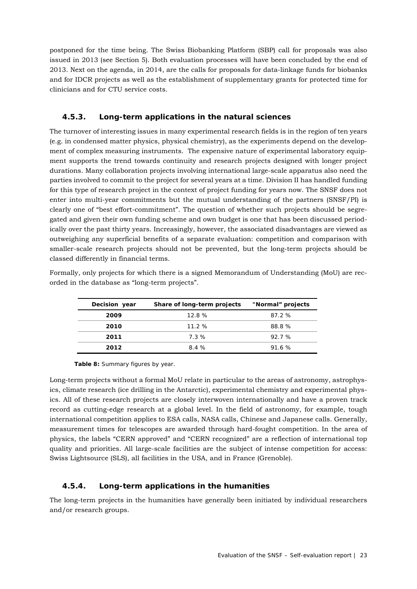postponed for the time being. The Swiss Biobanking Platform (SBP) call for proposals was also issued in 2013 (see Section 5). Both evaluation processes will have been concluded by the end of 2013. Next on the agenda, in 2014, are the calls for proposals for data-linkage funds for biobanks and for IDCR projects as well as the establishment of supplementary grants for protected time for clinicians and for CTU service costs.

## **4.5.3. Long-term applications in the natural sciences**

The turnover of interesting issues in many experimental research fields is in the region of ten years (e.g. in condensed matter physics, physical chemistry), as the experiments depend on the development of complex measuring instruments. The expensive nature of experimental laboratory equipment supports the trend towards continuity and research projects designed with longer project durations. Many collaboration projects involving international large-scale apparatus also need the parties involved to commit to the project for several years at a time. Division II has handled funding for this type of research project in the context of project funding for years now. The SNSF does not enter into multi-year commitments but the mutual understanding of the partners (SNSF/PI) is clearly one of "best effort-commitment". The question of whether such projects should be segregated and given their own funding scheme and own budget is one that has been discussed periodically over the past thirty years. Increasingly, however, the associated disadvantages are viewed as outweighing any superficial benefits of a separate evaluation: competition and comparison with smaller-scale research projects should not be prevented, but the long-term projects should be classed differently in financial terms.

| Formally, only projects for which there is a signed Memorandum of Understanding (MoU) are rec- |  |
|------------------------------------------------------------------------------------------------|--|
| orded in the database as "long-term projects".                                                 |  |
|                                                                                                |  |

| Decision year | Share of long-term projects | "Normal" projects |
|---------------|-----------------------------|-------------------|
| 2009          | 12.8%                       | 87.2%             |
| 2010          | 11.2%                       | 88.8%             |
| 2011          | 7.3%                        | 92.7%             |
| 2012          | 8.4 %                       | 91.6%             |

**Table 8:** Summary figures by year.

Long-term projects without a formal MoU relate in particular to the areas of astronomy, astrophysics, climate research (ice drilling in the Antarctic), experimental chemistry and experimental physics. All of these research projects are closely interwoven internationally and have a proven track record as cutting-edge research at a global level. In the field of astronomy, for example, tough international competition applies to ESA calls, NASA calls, Chinese and Japanese calls. Generally, measurement times for telescopes are awarded through hard-fought competition. In the area of physics, the labels "CERN approved" and "CERN recognized" are a reflection of international top quality and priorities. All large-scale facilities are the subject of intense competition for access: Swiss Lightsource (SLS), all facilities in the USA, and in France (Grenoble).

## **4.5.4. Long-term applications in the humanities**

The long-term projects in the humanities have generally been initiated by individual researchers and/or research groups.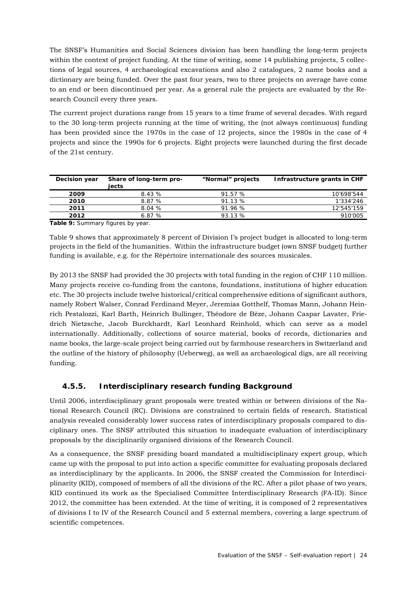The SNSF's Humanities and Social Sciences division has been handling the long-term projects within the context of project funding. At the time of writing, some 14 publishing projects, 5 collections of legal sources, 4 archaeological excavations and also 2 catalogues, 2 name books and a dictionary are being funded. Over the past four years, two to three projects on average have come to an end or been discontinued per year. As a general rule the projects are evaluated by the Research Council every three years.

The current project durations range from 15 years to a time frame of several decades. With regard to the 30 long-term projects running at the time of writing, the (not always continuous) funding has been provided since the 1970s in the case of 12 projects, since the 1980s in the case of 4 projects and since the 1990s for 6 projects. Eight projects were launched during the first decade of the 21st century.

| Decision year | Share of long-term pro-<br>iects | "Normal" projects | Infrastructure grants in CHF |
|---------------|----------------------------------|-------------------|------------------------------|
| 2009          | 8.43 %                           | 91.57 %           | 10'698'544                   |
| 2010          | 8.87%                            | 91.13 %           | 1'334'246                    |
| 2011          | 8.04%                            | 91.96%            | 12'545'159                   |
| 2012          | 6.87%                            | 93.13 %           | 910'005                      |

**Table 9:** Summary figures by year.

Table 9 shows that approximately 8 percent of Division I's project budget is allocated to long-term projects in the field of the humanities. Within the infrastructure budget (own SNSF budget) further funding is available, e.g. for the Répértoire internationale des sources musicales.

By 2013 the SNSF had provided the 30 projects with total funding in the region of CHF 110 million. Many projects receive co-funding from the cantons, foundations, institutions of higher education etc. The 30 projects include twelve historical/critical comprehensive editions of significant authors, namely Robert Walser, Conrad Ferdinand Meyer, Jeremias Gotthelf, Thomas Mann, Johann Heinrich Pestalozzi, Karl Barth, Heinrich Bullinger, Théodore de Bèze, Johann Caspar Lavater, Friedrich Nietzsche, Jacob Burckhardt, Karl Leonhard Reinhold, which can serve as a model internationally. Additionally, collections of source material, books of records, dictionaries and name books, the large-scale project being carried out by farmhouse researchers in Switzerland and the outline of the history of philosophy (Ueberweg), as well as archaeological digs, are all receiving funding.

## **4.5.5. Interdisciplinary research funding Background**

Until 2006, interdisciplinary grant proposals were treated within or between divisions of the National Research Council (RC). Divisions are constrained to certain fields of research. Statistical analysis revealed considerably lower success rates of interdisciplinary proposals compared to disciplinary ones. The SNSF attributed this situation to inadequate evaluation of interdisciplinary proposals by the disciplinarily organised divisions of the Research Council.

As a consequence, the SNSF presiding board mandated a multidisciplinary expert group, which came up with the proposal to put into action a specific committee for evaluating proposals declared as interdisciplinary by the applicants. In 2006, the SNSF created the Commission for Interdisciplinarity (KID), composed of members of all the divisions of the RC. After a pilot phase of two years, KID continued its work as the Specialised Committee Interdisciplinary Research (FA-ID). Since 2012, the committee has been extended. At the time of writing, it is composed of 2 representatives of divisions I to IV of the Research Council and 5 external members, covering a large spectrum of scientific competences.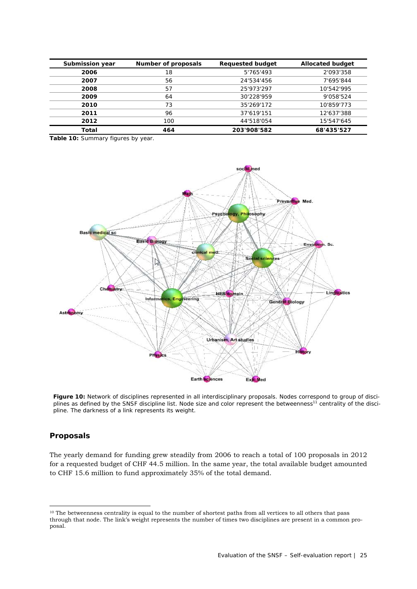| Submission year | Number of proposals | <b>Requested budget</b> | <b>Allocated budget</b> |
|-----------------|---------------------|-------------------------|-------------------------|
| 2006            | 18                  | 5'765'493               | 2'093'358               |
| 2007            | 56                  | 24'534'456              | 7'695'844               |
| 2008            | 57                  | 25'973'297              | 10'542'995              |
| 2009            | 64                  | 30'228'959              | 9'058'524               |
| 2010            | 73                  | 35'269'172              | 10'859'773              |
| 2011            | 96                  | 37'619'151              | 12'637'388              |
| 2012            | 100                 | 44'518'054              | 15'547'645              |
| Total           | 464                 | 203'908'582             | 68'435'527              |

**Table 10:** Summary figures by year.



**Figure 10:** Network of disciplines represented in all interdisciplinary proposals. Nodes correspond to group of disciplines as defined by the SNSF discipline list. Node size and color represent the betweenness<sup>11</sup> centrality of the discipline. The darkness of a link represents its weight.

#### **Proposals**

1

The yearly demand for funding grew steadily from 2006 to reach a total of 100 proposals in 2012 for a requested budget of CHF 44.5 million. In the same year, the total available budget amounted to CHF 15.6 million to fund approximately 35% of the total demand.

<sup>&</sup>lt;sup>10</sup> The betweenness centrality is equal to the number of shortest paths from all vertices to all others that pass through that node. The link's weight represents the number of times two disciplines are present in a common proposal.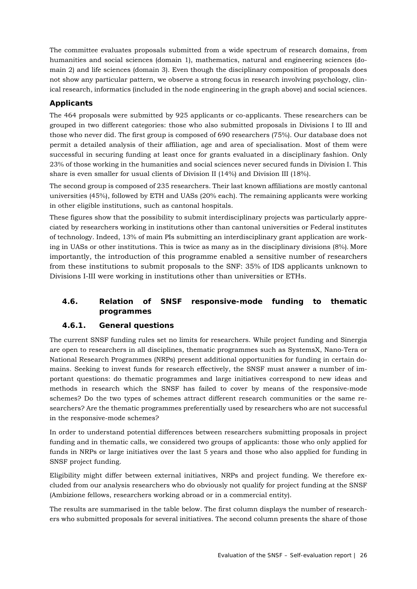The committee evaluates proposals submitted from a wide spectrum of research domains, from humanities and social sciences (domain 1), mathematics, natural and engineering sciences (domain 2) and life sciences (domain 3). Even though the disciplinary composition of proposals does not show any particular pattern, we observe a strong focus in research involving psychology, clinical research, informatics (included in the node engineering in the graph above) and social sciences.

## **Applicants**

The 464 proposals were submitted by 925 applicants or co-applicants. These researchers can be grouped in two different categories: those who also submitted proposals in Divisions I to III and those who never did. The first group is composed of 690 researchers (75%). Our database does not permit a detailed analysis of their affiliation, age and area of specialisation. Most of them were successful in securing funding at least once for grants evaluated in a disciplinary fashion. Only 23% of those working in the humanities and social sciences never secured funds in Division I. This share is even smaller for usual clients of Division II (14%) and Division III (18%).

The second group is composed of 235 researchers. Their last known affiliations are mostly cantonal universities (45%), followed by ETH and UASs (20% each). The remaining applicants were working in other eligible institutions, such as cantonal hospitals.

These figures show that the possibility to submit interdisciplinary projects was particularly appreciated by researchers working in institutions other than cantonal universities or Federal institutes of technology. Indeed, 13% of main PIs submitting an interdisciplinary grant application are working in UASs or other institutions. This is twice as many as in the disciplinary divisions (8%). More importantly, the introduction of this programme enabled a sensitive number of researchers from these institutions to submit proposals to the SNF: 35% of IDS applicants unknown to Divisions I-III were working in institutions other than universities or ETHs.

## **4.6. Relation of SNSF responsive-mode funding to thematic programmes**

## **4.6.1. General questions**

The current SNSF funding rules set no limits for researchers. While project funding and Sinergia are open to researchers in all disciplines, thematic programmes such as SystemsX, Nano-Tera or National Research Programmes (NRPs) present additional opportunities for funding in certain domains. Seeking to invest funds for research effectively, the SNSF must answer a number of important questions: do thematic programmes and large initiatives correspond to new ideas and methods in research which the SNSF has failed to cover by means of the responsive-mode schemes? Do the two types of schemes attract different research communities or the same researchers? Are the thematic programmes preferentially used by researchers who are not successful in the responsive-mode schemes?

In order to understand potential differences between researchers submitting proposals in project funding and in thematic calls, we considered two groups of applicants: those who only applied for funds in NRPs or large initiatives over the last 5 years and those who also applied for funding in SNSF project funding.

Eligibility might differ between external initiatives, NRPs and project funding. We therefore excluded from our analysis researchers who do obviously not qualify for project funding at the SNSF (Ambizione fellows, researchers working abroad or in a commercial entity).

The results are summarised in the table below. The first column displays the number of researchers who submitted proposals for several initiatives. The second column presents the share of those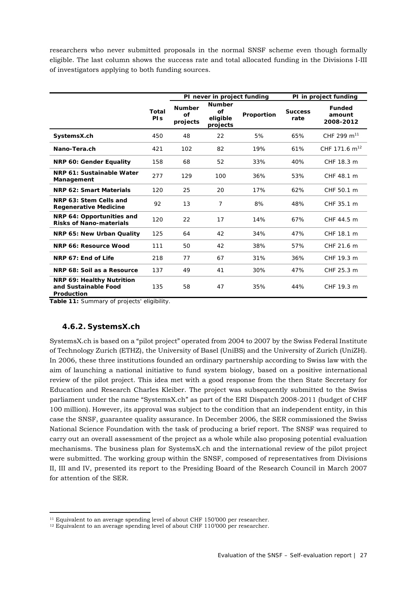researchers who never submitted proposals in the normal SNSF scheme even though formally eligible. The last column shows the success rate and total allocated funding in the Divisions I-III of investigators applying to both funding sources.

|                                                                        |              |                                 | PI never in project funding                 |            |                        | PI in project funding                |
|------------------------------------------------------------------------|--------------|---------------------------------|---------------------------------------------|------------|------------------------|--------------------------------------|
|                                                                        | Total<br>PIS | <b>Number</b><br>Ωf<br>projects | <b>Number</b><br>of<br>eligible<br>projects | Proportion | <b>Success</b><br>rate | <b>Funded</b><br>amount<br>2008-2012 |
| SystemsX.ch                                                            | 450          | 48                              | 22                                          | 5%         | 65%                    | CHF 299 $m^{11}$                     |
| Nano-Tera.ch                                                           | 421          | 102                             | 82                                          | 19%        | 61%                    | CHF 171.6 $m^{12}$                   |
| NRP 60: Gender Equality                                                | 158          | 68                              | 52                                          | 33%        | 40%                    | CHF 18.3 m                           |
| NRP 61: Sustainable Water<br>Management                                | 277          | 129                             | 100                                         | 36%        | 53%                    | CHF 48.1 m                           |
| NRP 62: Smart Materials                                                | 120          | 25                              | 20                                          | 17%        | 62%                    | CHF 50.1 m                           |
| NRP 63: Stem Cells and<br><b>Regenerative Medicine</b>                 | 92           | 13                              | 7                                           | 8%         | 48%                    | CHF 35.1 m                           |
| NRP 64: Opportunities and<br><b>Risks of Nano-materials</b>            | 120          | 22                              | 17                                          | 14%        | 67%                    | CHF 44.5 m                           |
| NRP 65: New Urban Quality                                              | 125          | 64                              | 42                                          | 34%        | 47%                    | CHF 18.1 m                           |
| NRP 66: Resource Wood                                                  | 111          | 50                              | 42                                          | 38%        | 57%                    | CHF 21.6 m                           |
| NRP 67: End of Life                                                    | 218          | 77                              | 67                                          | 31%        | 36%                    | CHF 19.3 m                           |
| NRP 68: Soil as a Resource                                             | 137          | 49                              | 41                                          | 30%        | 47%                    | CHF 25.3 m                           |
| <b>NRP 69: Healthy Nutrition</b><br>and Sustainable Food<br>Production | 135          | 58                              | 47                                          | 35%        | 44%                    | CHF 19.3 m                           |

**Table 11:** Summary of projects' eligibility.

#### **4.6.2. SystemsX.ch**

1

SystemsX.ch is based on a "pilot project" operated from 2004 to 2007 by the Swiss Federal Institute of Technology Zurich (ETHZ), the University of Basel (UniBS) and the University of Zurich (UniZH). In 2006, these three institutions founded an ordinary partnership according to Swiss law with the aim of launching a national initiative to fund system biology, based on a positive international review of the pilot project. This idea met with a good response from the then State Secretary for Education and Research Charles Kleiber. The project was subsequently submitted to the Swiss parliament under the name "SystemsX.ch" as part of the ERI Dispatch 2008-2011 (budget of CHF 100 million). However, its approval was subject to the condition that an independent entity, in this case the SNSF, guarantee quality assurance. In December 2006, the SER commissioned the Swiss National Science Foundation with the task of producing a brief report. The SNSF was required to carry out an overall assessment of the project as a whole while also proposing potential evaluation mechanisms. The business plan for SystemsX.ch and the international review of the pilot project were submitted. The working group within the SNSF, composed of representatives from Divisions II, III and IV, presented its report to the Presiding Board of the Research Council in March 2007 for attention of the SER.

<sup>&</sup>lt;sup>11</sup> Equivalent to an average spending level of about CHF 150'000 per researcher.

<sup>&</sup>lt;sup>12</sup> Equivalent to an average spending level of about CHF 110'000 per researcher.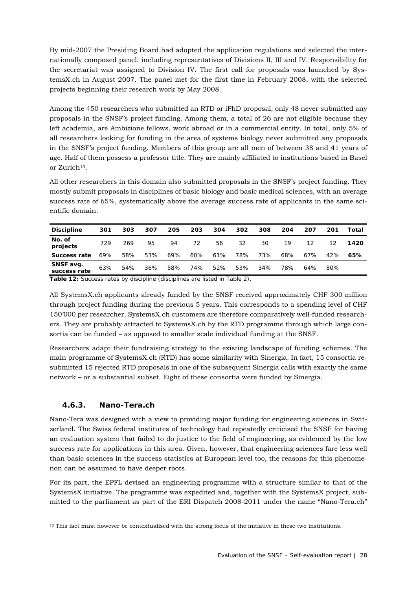By mid-2007 the Presiding Board had adopted the application regulations and selected the internationally composed panel, including representatives of Divisions II, III and IV. Responsibility for the secretariat was assigned to Division IV. The first call for proposals was launched by SystemsX.ch in August 2007. The panel met for the first time in February 2008, with the selected projects beginning their research work by May 2008.

Among the 450 researchers who submitted an RTD or iPhD proposal, only 48 never submitted any proposals in the SNSF's project funding. Among them, a total of 26 are not eligible because they left academia, are Ambizione fellows, work abroad or in a commercial entity. In total, only 5% of all researchers looking for funding in the area of systems biology never submitted any proposals in the SNSF's project funding. Members of this group are all men of between 38 and 41 years of age. Half of them possess a professor title. They are mainly affiliated to institutions based in Basel or Zurich13.

All other researchers in this domain also submitted proposals in the SNSF's project funding. They mostly submit proposals in disciplines of basic biology and basic medical sciences, with an average success rate of 65%, systematically above the average success rate of applicants in the same scientific domain.

| <b>Discipline</b>         | 301 | 303 | 307 | 205 | 203 | 304 | 302 | 308 | 204 | 207 | 201 | Total |
|---------------------------|-----|-----|-----|-----|-----|-----|-----|-----|-----|-----|-----|-------|
| No. of<br>projects        | 729 | 269 | 95  | 94  | 72  | 56  | 32  | 30  | 19  | 12  |     | 1420  |
| Success rate              | 69% | 58% | 53% | 69% | 60% | 61% | 78% | 73% | 68% | 67% | 42% | 65%   |
| SNSF avg.<br>success rate | 63% | 54% | 36% | 58% | 74% | 52% | 53% | 34% | 78% | 64% | 80% |       |

**Table 12:** Success rates by discipline (disciplines are listed in Table 2).

All SystemsX.ch applicants already funded by the SNSF received approximately CHF 300 million through project funding during the previous 5 years. This corresponds to a spending level of CHF 150'000 per researcher. SystemsX.ch customers are therefore comparatively well-funded researchers. They are probably attracted to SystemsX.ch by the RTD programme through which large consortia can be funded – as opposed to smaller scale individual funding at the SNSF.

Researchers adapt their fundraising strategy to the existing landscape of funding schemes. The main programme of SystemsX.ch (RTD) has some similarity with Sinergia. In fact, 15 consortia resubmitted 15 rejected RTD proposals in one of the subsequent Sinergia calls with exactly the same network – or a substantial subset. Eight of these consortia were funded by Sinergia.

#### **4.6.3. Nano-Tera.ch**

Nano-Tera was designed with a view to providing major funding for engineering sciences in Switzerland. The Swiss federal institutes of technology had repeatedly criticised the SNSF for having an evaluation system that failed to do justice to the field of engineering, as evidenced by the low success rate for applications in this area. Given, however, that engineering sciences fare less well than basic sciences in the success statistics at European level too, the reasons for this phenomenon can be assumed to have deeper roots.

For its part, the EPFL devised an engineering programme with a structure similar to that of the SystemsX initiative. The programme was expedited and, together with the SystemsX project, submitted to the parliament as part of the ERI Dispatch 2008-2011 under the name "Nano-Tera.ch"

<sup>1</sup> <sup>13</sup> This fact must however be contextualised with the strong focus of the initiative in these two institutions.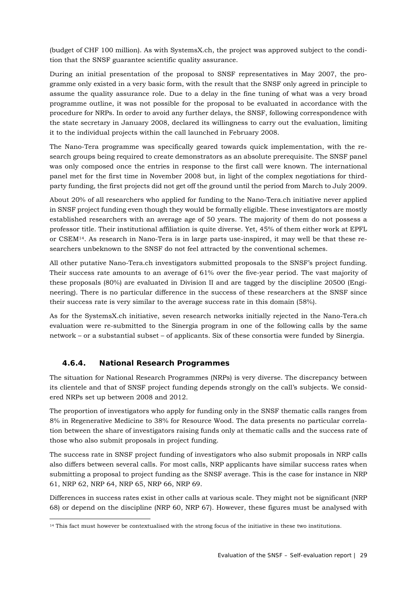(budget of CHF 100 million). As with SystemsX.ch, the project was approved subject to the condition that the SNSF guarantee scientific quality assurance.

During an initial presentation of the proposal to SNSF representatives in May 2007, the programme only existed in a very basic form, with the result that the SNSF only agreed in principle to assume the quality assurance role. Due to a delay in the fine tuning of what was a very broad programme outline, it was not possible for the proposal to be evaluated in accordance with the procedure for NRPs. In order to avoid any further delays, the SNSF, following correspondence with the state secretary in January 2008, declared its willingness to carry out the evaluation, limiting it to the individual projects within the call launched in February 2008.

The Nano-Tera programme was specifically geared towards quick implementation, with the research groups being required to create demonstrators as an absolute prerequisite. The SNSF panel was only composed once the entries in response to the first call were known. The international panel met for the first time in November 2008 but, in light of the complex negotiations for thirdparty funding, the first projects did not get off the ground until the period from March to July 2009.

About 20% of all researchers who applied for funding to the Nano-Tera.ch initiative never applied in SNSF project funding even though they would be formally eligible. These investigators are mostly established researchers with an average age of 50 years. The majority of them do not possess a professor title. Their institutional affiliation is quite diverse. Yet, 45% of them either work at EPFL or CSEM14. As research in Nano-Tera is in large parts use-inspired, it may well be that these researchers unbeknown to the SNSF do not feel attracted by the conventional schemes.

All other putative Nano-Tera.ch investigators submitted proposals to the SNSF's project funding. Their success rate amounts to an average of 61% over the five-year period. The vast majority of these proposals (80%) are evaluated in Division II and are tagged by the discipline 20500 (Engineering). There is no particular difference in the success of these researchers at the SNSF since their success rate is very similar to the average success rate in this domain (58%).

As for the SystemsX.ch initiative, seven research networks initially rejected in the Nano-Tera.ch evaluation were re-submitted to the Sinergia program in one of the following calls by the same network – or a substantial subset – of applicants. Six of these consortia were funded by Sinergia.

## **4.6.4. National Research Programmes**

The situation for National Research Programmes (NRPs) is very diverse. The discrepancy between its clientele and that of SNSF project funding depends strongly on the call's subjects. We considered NRPs set up between 2008 and 2012.

The proportion of investigators who apply for funding only in the SNSF thematic calls ranges from 8% in Regenerative Medicine to 38% for Resource Wood. The data presents no particular correlation between the share of investigators raising funds only at thematic calls and the success rate of those who also submit proposals in project funding.

The success rate in SNSF project funding of investigators who also submit proposals in NRP calls also differs between several calls. For most calls, NRP applicants have similar success rates when submitting a proposal to project funding as the SNSF average. This is the case for instance in NRP 61, NRP 62, NRP 64, NRP 65, NRP 66, NRP 69.

Differences in success rates exist in other calls at various scale. They might not be significant (NRP 68) or depend on the discipline (NRP 60, NRP 67). However, these figures must be analysed with

<sup>1</sup> <sup>14</sup> This fact must however be contextualised with the strong focus of the initiative in these two institutions.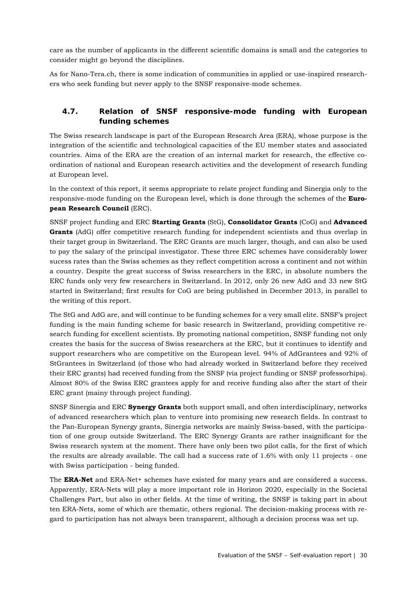care as the number of applicants in the different scientific domains is small and the categories to consider might go beyond the disciplines.

As for Nano-Tera.ch, there is some indication of communities in applied or use-inspired researchers who seek funding but never apply to the SNSF responsive-mode schemes.

## **4.7. Relation of SNSF responsive-mode funding with European funding schemes**

The Swiss research landscape is part of the European Research Area (ERA), whose purpose is the integration of the scientific and technological capacities of the EU member states and associated countries. Aims of the ERA are the creation of an internal market for research, the effective coordination of national and European research activities and the development of research funding at European level.

In the context of this report, it seems appropriate to relate project funding and Sinergia only to the responsive-mode funding on the European level, which is done through the schemes of the **European Research Council** (ERC).

SNSF project funding and ERC **Starting Grants** (StG), **Consolidator Grants** (CoG) and **Advanced Grants** (AdG) offer competitive research funding for independent scientists and thus overlap in their target group in Switzerland. The ERC Grants are much larger, though, and can also be used to pay the salary of the principal investigator. These three ERC schemes have considerably lower sucess rates than the Swiss schemes as they reflect competition across a continent and not within a country. Despite the great success of Swiss researchers in the ERC, in absolute numbers the ERC funds only very few researchers in Switzerland. In 2012, only 26 new AdG and 33 new StG started in Switzerland; first results for CoG are being published in December 2013, in parallel to the writing of this report.

The StG and AdG are, and will continue to be funding schemes for a very small elite. SNSF's project funding is the main funding scheme for basic research in Switzerland, providing competitive research funding for excellent scientists. By promoting national competition, SNSF funding not only creates the basis for the success of Swiss researchers at the ERC, but it continues to identify and support researchers who are competitive on the European level. 94% of AdGrantees and 92% of StGrantees in Switzerland (of those who had already worked in Switzerland before they received their ERC grants) had received funding from the SNSF (via project funding or SNSF professorhips). Almost 80% of the Swiss ERC grantees apply for and receive funding also after the start of their ERC grant (mainy through project funding).

SNSF Sinergia and ERC **Synergy Grants** both support small, and often interdisciplinary, networks of advanced researchers which plan to venture into promising new research fields. In contrast to the Pan-European Synergy grants, Sinergia networks are mainly Swiss-based, with the participation of one group outside Switzerland. The ERC Synergy Grants are rather insignificant for the Swiss research system at the moment. There have only been two pilot calls, for the first of which the results are already available. The call had a success rate of 1.6% with only 11 projects - one with Swiss participation - being funded.

The **ERA-Net** and ERA-Net+ schemes have existed for many years and are considered a success. Apparently, ERA-Nets will play a more important role in Horizon 2020, especially in the Societal Challenges Part, but also in other fields. At the time of writing, the SNSF is taking part in about ten ERA-Nets, some of which are thematic, others regional. The decision-making process with regard to participation has not always been transparent, although a decision process was set up.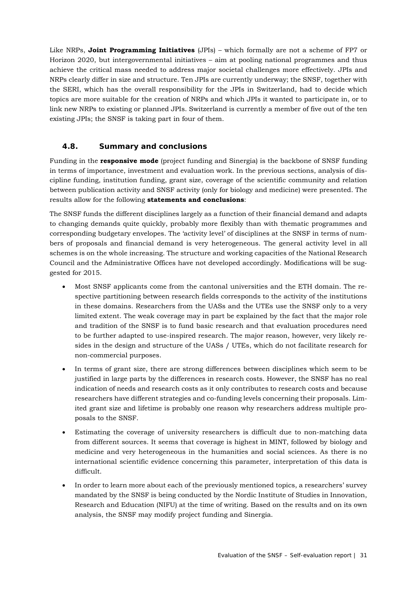Like NRPs, **Joint Programming Initiatives** (JPIs) – which formally are not a scheme of FP7 or Horizon 2020, but intergovernmental initiatives – aim at pooling national programmes and thus achieve the critical mass needed to address major societal challenges more effectively. JPIs and NRPs clearly differ in size and structure. Ten JPIs are currently underway; the SNSF, together with the SERI, which has the overall responsibility for the JPIs in Switzerland, had to decide which topics are more suitable for the creation of NRPs and which JPIs it wanted to participate in, or to link new NRPs to existing or planned JPIs. Switzerland is currently a member of five out of the ten existing JPIs; the SNSF is taking part in four of them.

## **4.8. Summary and conclusions**

Funding in the **responsive mode** (project funding and Sinergia) is the backbone of SNSF funding in terms of importance, investment and evaluation work. In the previous sections, analysis of discipline funding, institution funding, grant size, coverage of the scientific community and relation between publication activity and SNSF activity (only for biology and medicine) were presented. The results allow for the following **statements and conclusions**:

The SNSF funds the different disciplines largely as a function of their financial demand and adapts to changing demands quite quickly, probably more flexibly than with thematic programmes and corresponding budgetary envelopes. The 'activity level' of disciplines at the SNSF in terms of numbers of proposals and financial demand is very heterogeneous. The general activity level in all schemes is on the whole increasing. The structure and working capacities of the National Research Council and the Administrative Offices have not developed accordingly. Modifications will be suggested for 2015.

- Most SNSF applicants come from the cantonal universities and the ETH domain. The respective partitioning between research fields corresponds to the activity of the institutions in these domains. Researchers from the UASs and the UTEs use the SNSF only to a very limited extent. The weak coverage may in part be explained by the fact that the major role and tradition of the SNSF is to fund basic research and that evaluation procedures need to be further adapted to use-inspired research. The major reason, however, very likely resides in the design and structure of the UASs / UTEs, which do not facilitate research for non-commercial purposes.
- In terms of grant size, there are strong differences between disciplines which seem to be justified in large parts by the differences in research costs. However, the SNSF has no real indication of needs and research costs as it only contributes to research costs and because researchers have different strategies and co-funding levels concerning their proposals. Limited grant size and lifetime is probably one reason why researchers address multiple proposals to the SNSF.
- Estimating the coverage of university researchers is difficult due to non-matching data from different sources. It seems that coverage is highest in MINT, followed by biology and medicine and very heterogeneous in the humanities and social sciences. As there is no international scientific evidence concerning this parameter, interpretation of this data is difficult.
- In order to learn more about each of the previously mentioned topics, a researchers' survey mandated by the SNSF is being conducted by the Nordic Institute of Studies in Innovation, Research and Education (NIFU) at the time of writing. Based on the results and on its own analysis, the SNSF may modify project funding and Sinergia.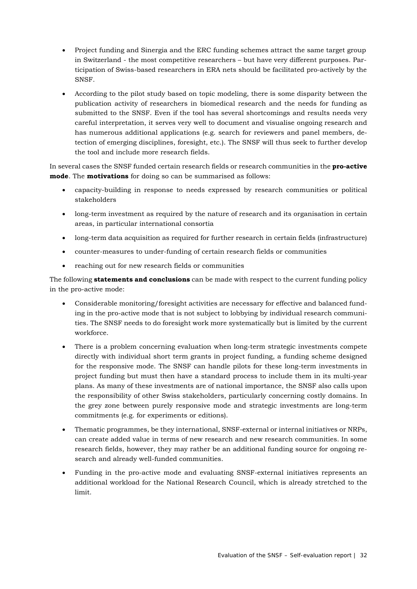- Project funding and Sinergia and the ERC funding schemes attract the same target group in Switzerland - the most competitive researchers – but have very different purposes. Participation of Swiss-based researchers in ERA nets should be facilitated pro-actively by the SNSF.
- According to the pilot study based on topic modeling, there is some disparity between the publication activity of researchers in biomedical research and the needs for funding as submitted to the SNSF. Even if the tool has several shortcomings and results needs very careful interpretation, it serves very well to document and visualise ongoing research and has numerous additional applications (e.g. search for reviewers and panel members, detection of emerging disciplines, foresight, etc.). The SNSF will thus seek to further develop the tool and include more research fields.

In several cases the SNSF funded certain research fields or research communities in the **pro-active mode**. The **motivations** for doing so can be summarised as follows:

- capacity-building in response to needs expressed by research communities or political stakeholders
- long-term investment as required by the nature of research and its organisation in certain areas, in particular international consortia
- long-term data acquisition as required for further research in certain fields (infrastructure)
- counter-measures to under-funding of certain research fields or communities
- reaching out for new research fields or communities

The following **statements and conclusions** can be made with respect to the current funding policy in the pro-active mode:

- Considerable monitoring/foresight activities are necessary for effective and balanced funding in the pro-active mode that is not subject to lobbying by individual research communities. The SNSF needs to do foresight work more systematically but is limited by the current workforce.
- There is a problem concerning evaluation when long-term strategic investments compete directly with individual short term grants in project funding, a funding scheme designed for the responsive mode. The SNSF can handle pilots for these long-term investments in project funding but must then have a standard process to include them in its multi-year plans. As many of these investments are of national importance, the SNSF also calls upon the responsibility of other Swiss stakeholders, particularly concerning costly domains. In the grey zone between purely responsive mode and strategic investments are long-term commitments (e.g. for experiments or editions).
- Thematic programmes, be they international, SNSF-external or internal initiatives or NRPs, can create added value in terms of new research and new research communities. In some research fields, however, they may rather be an additional funding source for ongoing research and already well-funded communities.
- Funding in the pro-active mode and evaluating SNSF-external initiatives represents an additional workload for the National Research Council, which is already stretched to the limit.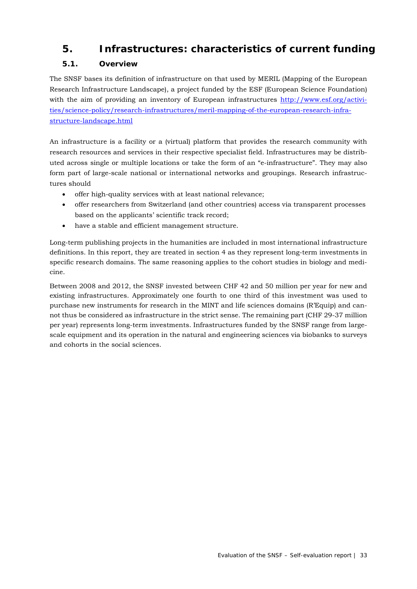## **5. Infrastructures: characteristics of current funding**

## **5.1. Overview**

The SNSF bases its definition of infrastructure on that used by MERIL (Mapping of the European Research Infrastructure Landscape), a project funded by the ESF (European Science Foundation) with the aim of providing an inventory of European infrastructures http://www.esf.org/activities/science-policy/research-infrastructures/meril-mapping-of-the-european-research-infrastructure-landscape.html

An infrastructure is a facility or a (virtual) platform that provides the research community with research resources and services in their respective specialist field. Infrastructures may be distributed across single or multiple locations or take the form of an "e-infrastructure". They may also form part of large-scale national or international networks and groupings. Research infrastructures should

- offer high-quality services with at least national relevance;
- offer researchers from Switzerland (and other countries) access via transparent processes based on the applicants' scientific track record;
- have a stable and efficient management structure.

Long-term publishing projects in the humanities are included in most international infrastructure definitions. In this report, they are treated in section 4 as they represent long-term investments in specific research domains. The same reasoning applies to the cohort studies in biology and medicine.

Between 2008 and 2012, the SNSF invested between CHF 42 and 50 million per year for new and existing infrastructures. Approximately one fourth to one third of this investment was used to purchase new instruments for research in the MINT and life sciences domains (R'Equip) and cannot thus be considered as infrastructure in the strict sense. The remaining part (CHF 29-37 million per year) represents long-term investments. Infrastructures funded by the SNSF range from largescale equipment and its operation in the natural and engineering sciences via biobanks to surveys and cohorts in the social sciences.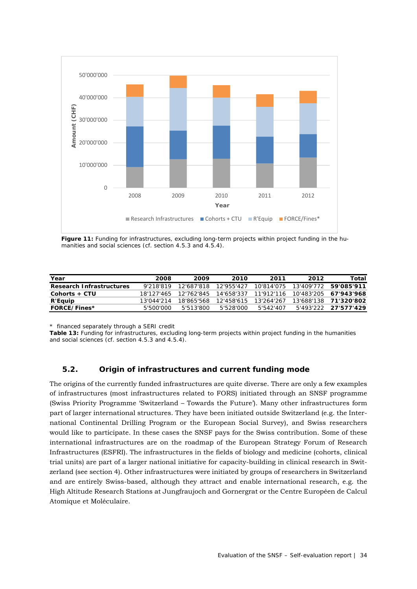

Figure 11: Funding for infrastructures, excluding long-term projects within project funding in the humanities and social sciences (cf. section 4.5.3 and 4.5.4).

| Year                            | 2008       | 2009       | 2010       | 2011                  | 2012       | Total                 |
|---------------------------------|------------|------------|------------|-----------------------|------------|-----------------------|
| <b>Research Infrastructures</b> | 9'218'819  | 12'687'818 | 12'955'427 | 10'814'075            | 13'409'772 | 59'085'911            |
| Cohorts + CTU                   | 18'127'465 | 12'762'845 |            | 14'658'337 11'912'116 |            | 10'483'205 67'943'968 |
| R'Equip                         | 13'044'214 | 18'865'568 | 12'458'615 | 13'264'267            |            | 13'688'138 71'320'802 |
| <b>FORCE/Fines*</b>             | 5'500'000  | 5'513'800  | 5'528'000  | 5'542'407             | 5'493'222  | 27'577'429            |

*\* financed separately through a SERI credit*

**Table 13:** Funding for infrastructures, excluding long-term projects within project funding in the humanities and social sciences (cf. section 4.5.3 and 4.5.4).

#### **5.2. Origin of infrastructures and current funding mode**

The origins of the currently funded infrastructures are quite diverse. There are only a few examples of infrastructures (most infrastructures related to FORS) initiated through an SNSF programme (Swiss Priority Programme 'Switzerland – Towards the Future'). Many other infrastructures form part of larger international structures. They have been initiated outside Switzerland (e.g. the International Continental Drilling Program or the European Social Survey), and Swiss researchers would like to participate. In these cases the SNSF pays for the Swiss contribution. Some of these international infrastructures are on the roadmap of the European Strategy Forum of Research Infrastructures (ESFRI). The infrastructures in the fields of biology and medicine (cohorts, clinical trial units) are part of a larger national initiative for capacity-building in clinical research in Switzerland (see section 4). Other infrastructures were initiated by groups of researchers in Switzerland and are entirely Swiss-based, although they attract and enable international research, e.g. the High Altitude Research Stations at Jungfraujoch and Gornergrat or the Centre Européen de Calcul Atomique et Moléculaire.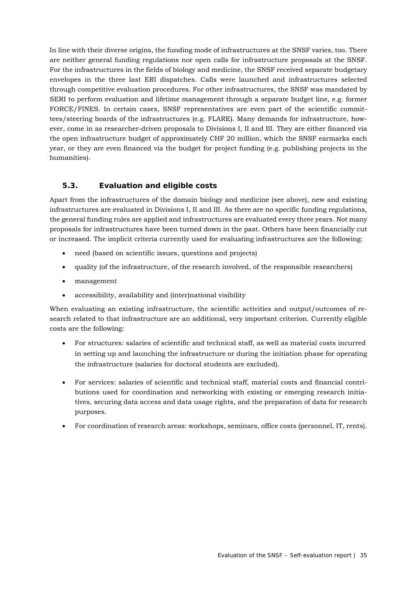In line with their diverse origins, the funding mode of infrastructures at the SNSF varies, too. There are neither general funding regulations nor open calls for infrastructure proposals at the SNSF. For the infrastructures in the fields of biology and medicine, the SNSF received separate budgetary envelopes in the three last ERI dispatches. Calls were launched and infrastructures selected through competitive evaluation procedures. For other infrastructures, the SNSF was mandated by SERI to perform evaluation and lifetime management through a separate budget line, e.g. former FORCE/FINES. In certain cases, SNSF representatives are even part of the scientific committees/steering boards of the infrastructures (e.g. FLARE). Many demands for infrastructure, however, come in as researcher-driven proposals to Divisions I, II and III. They are either financed via the open infrastructure budget of approximately CHF 20 million, which the SNSF earmarks each year, or they are even financed via the budget for project funding (e.g. publishing projects in the humanities).

## **5.3. Evaluation and eligible costs**

Apart from the infrastructures of the domain biology and medicine (see above), new and existing infrastructures are evaluated in Divisions I, II and III. As there are no specific funding regulations, the general funding rules are applied and infrastructures are evaluated every three years. Not many proposals for infrastructures have been turned down in the past. Others have been financially cut or increased. The implicit criteria currently used for evaluating infrastructures are the following:

- need (based on scientific issues, questions and projects)
- quality (of the infrastructure, of the research involved, of the responsible researchers)
- management
- accessibility, availability and (inter)national visibility

When evaluating an existing infrastructure, the scientific activities and output/outcomes of research related to that infrastructure are an additional, very important criterion. Currently eligible costs are the following:

- For structures: salaries of scientific and technical staff, as well as material costs incurred in setting up and launching the infrastructure or during the initiation phase for operating the infrastructure (salaries for doctoral students are excluded).
- For services: salaries of scientific and technical staff, material costs and financial contributions used for coordination and networking with existing or emerging research initiatives, securing data access and data usage rights, and the preparation of data for research purposes.
- For coordination of research areas: workshops, seminars, office costs (personnel, IT, rents).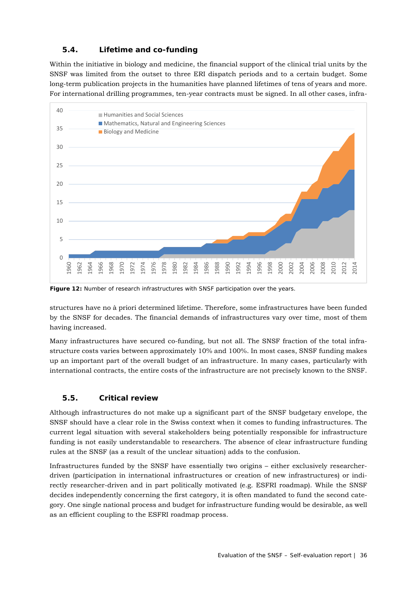## **5.4. Lifetime and co-funding**

Within the initiative in biology and medicine, the financial support of the clinical trial units by the SNSF was limited from the outset to three ERI dispatch periods and to a certain budget. Some long-term publication projects in the humanities have planned lifetimes of tens of years and more. For international drilling programmes, ten-year contracts must be signed. In all other cases, infra-



**Figure 12:** Number of research infrastructures with SNSF participation over the years.

structures have no à priori determined lifetime. Therefore, some infrastructures have been funded by the SNSF for decades. The financial demands of infrastructures vary over time, most of them having increased.

Many infrastructures have secured co-funding, but not all. The SNSF fraction of the total infrastructure costs varies between approximately 10% and 100%. In most cases, SNSF funding makes up an important part of the overall budget of an infrastructure. In many cases, particularly with international contracts, the entire costs of the infrastructure are not precisely known to the SNSF.

## **5.5. Critical review**

Although infrastructures do not make up a significant part of the SNSF budgetary envelope, the SNSF should have a clear role in the Swiss context when it comes to funding infrastructures. The current legal situation with several stakeholders being potentially responsible for infrastructure funding is not easily understandable to researchers. The absence of clear infrastructure funding rules at the SNSF (as a result of the unclear situation) adds to the confusion.

Infrastructures funded by the SNSF have essentially two origins – either exclusively researcherdriven (participation in international infrastructures or creation of new infrastructures) or indirectly researcher-driven and in part politically motivated (e.g. ESFRI roadmap). While the SNSF decides independently concerning the first category, it is often mandated to fund the second category. One single national process and budget for infrastructure funding would be desirable, as well as an efficient coupling to the ESFRI roadmap process.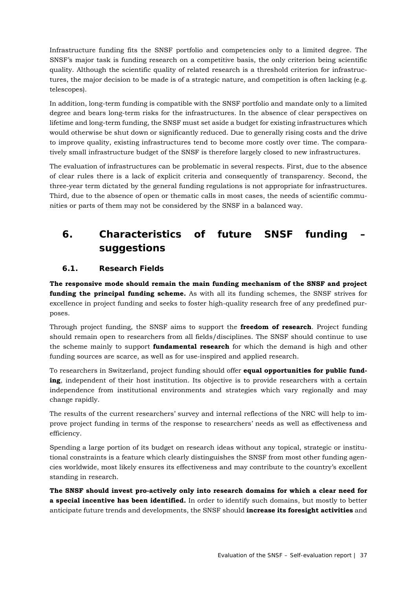Infrastructure funding fits the SNSF portfolio and competencies only to a limited degree. The SNSF's major task is funding research on a competitive basis, the only criterion being scientific quality. Although the scientific quality of related research is a threshold criterion for infrastructures, the major decision to be made is of a strategic nature, and competition is often lacking (e.g. telescopes).

In addition, long-term funding is compatible with the SNSF portfolio and mandate only to a limited degree and bears long-term risks for the infrastructures. In the absence of clear perspectives on lifetime and long-term funding, the SNSF must set aside a budget for existing infrastructures which would otherwise be shut down or significantly reduced. Due to generally rising costs and the drive to improve quality, existing infrastructures tend to become more costly over time. The comparatively small infrastructure budget of the SNSF is therefore largely closed to new infrastructures.

The evaluation of infrastructures can be problematic in several respects. First, due to the absence of clear rules there is a lack of explicit criteria and consequently of transparency. Second, the three-year term dictated by the general funding regulations is not appropriate for infrastructures. Third, due to the absence of open or thematic calls in most cases, the needs of scientific communities or parts of them may not be considered by the SNSF in a balanced way.

## **6. Characteristics of future SNSF funding – suggestions**

## **6.1. Research Fields**

**The responsive mode should remain the main funding mechanism of the SNSF and project funding the principal funding scheme.** As with all its funding schemes, the SNSF strives for excellence in project funding and seeks to foster high-quality research free of any predefined purposes.

Through project funding, the SNSF aims to support the **freedom of research**. Project funding should remain open to researchers from all fields/disciplines. The SNSF should continue to use the scheme mainly to support **fundamental research** for which the demand is high and other funding sources are scarce, as well as for use-inspired and applied research.

To researchers in Switzerland, project funding should offer **equal opportunities for public funding**, independent of their host institution. Its objective is to provide researchers with a certain independence from institutional environments and strategies which vary regionally and may change rapidly.

The results of the current researchers' survey and internal reflections of the NRC will help to improve project funding in terms of the response to researchers' needs as well as effectiveness and efficiency.

Spending a large portion of its budget on research ideas without any topical, strategic or institutional constraints is a feature which clearly distinguishes the SNSF from most other funding agencies worldwide, most likely ensures its effectiveness and may contribute to the country's excellent standing in research.

**The SNSF should invest pro-actively only into research domains for which a clear need for a special incentive has been identified.** In order to identify such domains, but mostly to better anticipate future trends and developments, the SNSF should **increase its foresight activities** and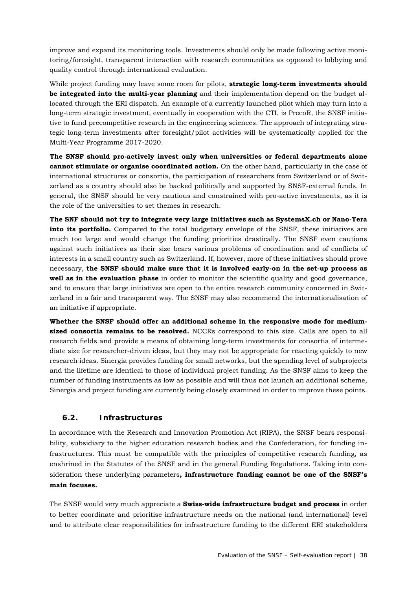improve and expand its monitoring tools. Investments should only be made following active monitoring/foresight, transparent interaction with research communities as opposed to lobbying and quality control through international evaluation.

While project funding may leave some room for pilots, **strategic long-term investments should be integrated into the multi-year planning** and their implementation depend on the budget allocated through the ERI dispatch. An example of a currently launched pilot which may turn into a long-term strategic investment, eventually in cooperation with the CTI, is PrecoR, the SNSF initiative to fund precompetitive research in the engineering sciences. The approach of integrating strategic long-term investments after foresight/pilot activities will be systematically applied for the Multi-Year Programme 2017-2020.

**The SNSF should pro-actively invest only when universities or federal departments alone cannot stimulate or organise coordinated action.** On the other hand, particularly in the case of international structures or consortia, the participation of researchers from Switzerland or of Switzerland as a country should also be backed politically and supported by SNSF-external funds. In general, the SNSF should be very cautious and constrained with pro-active investments, as it is the role of the universities to set themes in research.

**The SNF should not try to integrate very large initiatives such as SystemsX.ch or Nano-Tera into its portfolio.** Compared to the total budgetary envelope of the SNSF, these initiatives are much too large and would change the funding priorities drastically. The SNSF even cautions against such initiatives as their size bears various problems of coordination and of conflicts of interests in a small country such as Switzerland. If, however, more of these initiatives should prove necessary, **the SNSF should make sure that it is involved early-on in the set-up process as well as in the evaluation phase** in order to monitor the scientific quality and good governance, and to ensure that large initiatives are open to the entire research community concerned in Switzerland in a fair and transparent way. The SNSF may also recommend the internationalisation of an initiative if appropriate.

**Whether the SNSF should offer an additional scheme in the responsive mode for mediumsized consortia remains to be resolved.** NCCRs correspond to this size. Calls are open to all research fields and provide a means of obtaining long-term investments for consortia of intermediate size for researcher-driven ideas, but they may not be appropriate for reacting quickly to new research ideas. Sinergia provides funding for small networks, but the spending level of subprojects and the lifetime are identical to those of individual project funding. As the SNSF aims to keep the number of funding instruments as low as possible and will thus not launch an additional scheme, Sinergia and project funding are currently being closely examined in order to improve these points.

## **6.2. Infrastructures**

In accordance with the Research and Innovation Promotion Act (RIPA), the SNSF bears responsibility, subsidiary to the higher education research bodies and the Confederation, for funding infrastructures. This must be compatible with the principles of competitive research funding, as enshrined in the Statutes of the SNSF and in the general Funding Regulations. Taking into consideration these underlying parameters**, infrastructure funding cannot be one of the SNSF's main focuses.** 

The SNSF would very much appreciate a **Swiss-wide infrastructure budget and process** in order to better coordinate and prioritise infrastructure needs on the national (and international) level and to attribute clear responsibilities for infrastructure funding to the different ERI stakeholders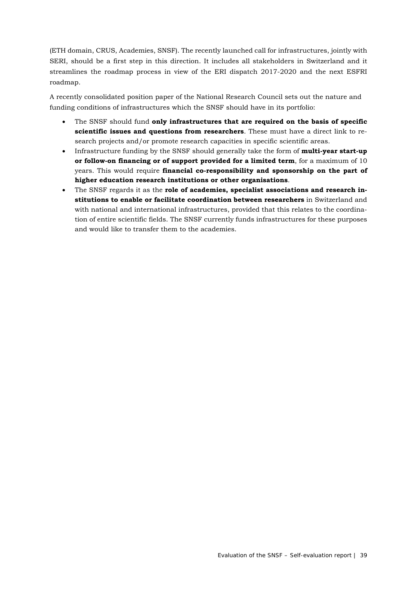(ETH domain, CRUS, Academies, SNSF). The recently launched call for infrastructures, jointly with SERI, should be a first step in this direction. It includes all stakeholders in Switzerland and it streamlines the roadmap process in view of the ERI dispatch 2017-2020 and the next ESFRI roadmap.

A recently consolidated position paper of the National Research Council sets out the nature and funding conditions of infrastructures which the SNSF should have in its portfolio:

- The SNSF should fund **only infrastructures that are required on the basis of specific scientific issues and questions from researchers**. These must have a direct link to research projects and/or promote research capacities in specific scientific areas.
- Infrastructure funding by the SNSF should generally take the form of **multi-year start-up or follow-on financing or of support provided for a limited term**, for a maximum of 10 years. This would require **financial co-responsibility and sponsorship on the part of higher education research institutions or other organisations**.
- The SNSF regards it as the **role of academies, specialist associations and research institutions to enable or facilitate coordination between researchers** in Switzerland and with national and international infrastructures, provided that this relates to the coordination of entire scientific fields. The SNSF currently funds infrastructures for these purposes and would like to transfer them to the academies.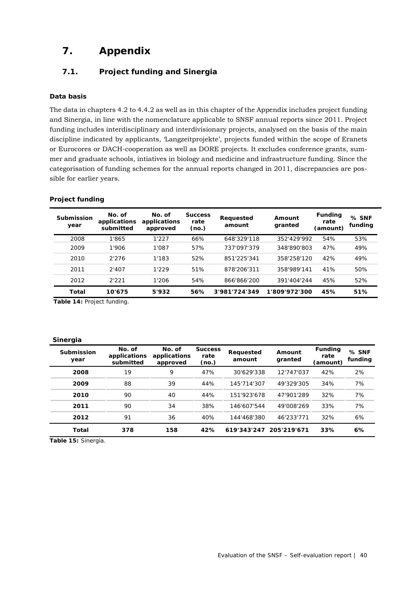## **7. Appendix**

## **7.1. Project funding and Sinergia**

#### **Data basis**

The data in chapters 4.2 to 4.4.2 as well as in this chapter of the Appendix includes project funding and Sinergia, in line with the nomenclature applicable to SNSF annual reports since 2011. Project funding includes interdisciplinary and interdivisionary projects, analysed on the basis of the main discipline indicated by applicants, 'Langzeitprojekte', projects funded within the scope of Eranets or Eurocores or DACH-cooperation as well as DORE projects. It excludes conference grants, summer and graduate schools, intiatives in biology and medicine and infrastructure funding. Since the categorisation of funding schemes for the annual reports changed in 2011, discrepancies are possible for earlier years.

| Submission<br>year | No. of<br>applications<br>submitted | No. of<br>applications<br>approved | <b>Success</b><br>rate<br>(no.) | Requested<br>amount | Amount<br>granted | <b>Funding</b><br>rate<br>(amount) | $%$ SNF<br>funding |
|--------------------|-------------------------------------|------------------------------------|---------------------------------|---------------------|-------------------|------------------------------------|--------------------|
| 2008               | 1'865                               | 1'227                              | 66%                             | 648'329'118         | 352'429'992       | 54%                                | 53%                |
| 2009               | 1'906                               | 1'087                              | 57%                             | 737'097'379         | 348'890'803       | 47%                                | 49%                |
| 2010               | 2'276                               | 1'183                              | 52%                             | 851'225'341         | 358'258'120       | 42%                                | 49%                |
| 2011               | 2'407                               | 1'229                              | 51%                             | 878'206'311         | 358'989'141       | 41%                                | 50%                |
| 2012               | 2'221                               | 1'206                              | 54%                             | 866'866'200         | 391'404'244       | 45%                                | 52%                |
| Total              | 10'675                              | 5'932                              | 56%                             | 3'981'724'349       | 1'809'972'300     | 45%                                | 51%                |

**Table 14:** Project funding.

#### **Sinergia**

| Submission<br>year | No. of<br>applications<br>submitted | No. of<br>applications<br>approved | <b>Success</b><br>rate<br>(no.) | Requested<br>amount | Amount<br>granted | <b>Funding</b><br>rate<br>(amount) | $%$ SNF<br>funding |
|--------------------|-------------------------------------|------------------------------------|---------------------------------|---------------------|-------------------|------------------------------------|--------------------|
| 2008               | 19                                  | 9                                  | 47%                             | 30'629'338          | 12'747'037        | 42%                                | 2%                 |
| 2009               | 88                                  | 39                                 | 44%                             | 145'714'307         | 49'329'305        | 34%                                | 7%                 |
| 2010               | 90                                  | 40                                 | 44%                             | 151'923'678         | 47'901'289        | 32%                                | 7%                 |
| 2011               | 90                                  | 34                                 | 38%                             | 146'607'544         | 49'008'269        | 33%                                | 7%                 |
| 2012               | 91                                  | 36                                 | 40%                             | 144'468'380         | 46'233'771        | 32%                                | 6%                 |
| Total              | 378                                 | 158                                | 42%                             | 619'343'247         | 205'219'671       | 33%                                | 6%                 |

**Table 15:** Sinergia.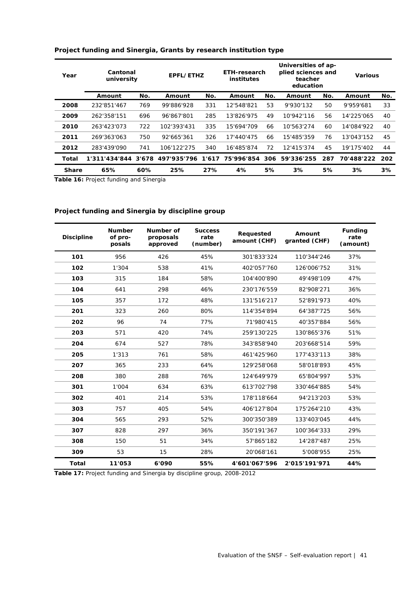| Year         | Cantonal<br>university |       | EPFL/ETHZ   |     | ETH-research<br>institutes |     | Universities of ap-<br>plied sciences and<br>teacher<br>education |     | <b>Various</b> |     |
|--------------|------------------------|-------|-------------|-----|----------------------------|-----|-------------------------------------------------------------------|-----|----------------|-----|
|              | Amount                 | No.   | Amount      | No. | Amount                     | No. | Amount                                                            | No. | Amount         | No. |
| 2008         | 232'851'467            | 769   | 99'886'928  | 331 | 12'548'821                 | 53  | 9'930'132                                                         | 50  | 9'959'681      | 33  |
| 2009         | 262'358'151            | 696   | 96'867'801  | 285 | 13'826'975                 | 49  | 10'942'116                                                        | 56  | 14'225'065     | 40  |
| 2010         | 263'423'073            | 722   | 102'393'431 | 335 | 15'694'709                 | 66  | 10'563'274                                                        | 60  | 14'084'922     | 40  |
| 2011         | 269'363'063            | 750   | 92'665'361  | 326 | 17'440'475                 | 66  | 15'485'359                                                        | 76  | 13'043'152     | 45  |
| 2012         | 283'439'090            | 741   | 106'122'275 | 340 | 16'485'874                 | 72  | 12'415'374                                                        | 45  | 19'175'402     | 44  |
| Total        | 1'311'434'844          | 3'678 | 497'935'796 |     | 1'617 75'996'854           | 306 | 59'336'255                                                        | 287 | 70'488'222     | 202 |
| <b>Share</b> | 65%                    | 60%   | 25%         | 27% | 4%                         | 5%  | 3%                                                                | 5%  | 3%             | 3%  |

#### **Project funding and Sinergia, Grants by research institution type**

**Table 16:** Project funding and Sinergia

## **Project funding and Sinergia by discipline group**

| <b>Discipline</b> | <b>Number</b><br>of pro-<br>posals | Number of<br>proposals<br>approved | <b>Success</b><br>rate<br>(number) | Requested<br>amount (CHF) | Amount<br>granted (CHF) | <b>Funding</b><br>rate<br>(amount) |
|-------------------|------------------------------------|------------------------------------|------------------------------------|---------------------------|-------------------------|------------------------------------|
| 101               | 956                                | 426                                | 45%                                | 301'833'324               | 110'344'246             | 37%                                |
| 102               | 1'304                              | 538                                | 41%                                | 402'057'760               | 126'006'752             | 31%                                |
| 103               | 315                                | 184                                | 58%                                | 104'400'890               | 49'498'109              | 47%                                |
| 104               | 641                                | 298                                | 46%                                | 230'176'559               | 82'908'271              | 36%                                |
| 105               | 357                                | 172                                | 48%                                | 131'516'217               | 52'891'973              | 40%                                |
| 201               | 323                                | 260                                | 80%                                | 114'354'894               | 64'387'725              | 56%                                |
| 202               | 96                                 | 74                                 | 77%                                | 71'980'415                | 40'357'884              | 56%                                |
| 203               | 571                                | 420                                | 74%                                | 259'130'225               | 130'865'376             | 51%                                |
| 204               | 674                                | 527                                | 78%                                | 343'858'940               | 203'668'514             | 59%                                |
| 205               | 1'313                              | 761                                | 58%                                | 461'425'960               | 177'433'113             | 38%                                |
| 207               | 365                                | 233                                | 64%                                | 129'258'068               | 58'018'893              | 45%                                |
| 208               | 380                                | 288                                | 76%                                | 124'649'979               | 65'804'997              | 53%                                |
| 301               | 1'004                              | 634                                | 63%                                | 613'702'798               | 330'464'885             | 54%                                |
| 302               | 401                                | 214                                | 53%                                | 178'118'664               | 94'213'203              | 53%                                |
| 303               | 757                                | 405                                | 54%                                | 406'127'804               | 175'264'210             | 43%                                |
| 304               | 565                                | 293                                | 52%                                | 300'350'389               | 133'403'045             | 44%                                |
| 307               | 828                                | 297                                | 36%                                | 350'191'367               | 100'364'333             | 29%                                |
| 308               | 150                                | 51                                 | 34%                                | 57'865'182                | 14'287'487              | 25%                                |
| 309               | 53                                 | 15                                 | 28%                                | 20'068'161                | 5'008'955               | 25%                                |
| <b>Total</b>      | 11'053                             | 6'090                              | 55%                                | 4'601'067'596             | 2'015'191'971           | 44%                                |

**Table 17:** Project funding and Sinergia by discipline group, 2008-2012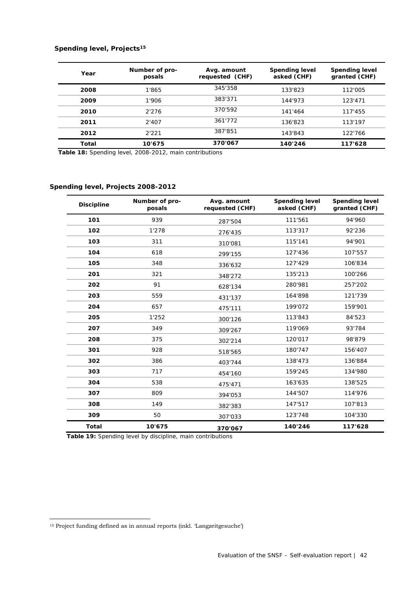#### **Spending level, Projects15**

| Year  | Number of pro-<br>posals | Avg. amount<br>requested (CHF) | <b>Spending level</b><br>asked (CHF) | <b>Spending level</b><br>granted (CHF) |
|-------|--------------------------|--------------------------------|--------------------------------------|----------------------------------------|
| 2008  | 1'865                    | 345'358                        | 133'823                              | 112'005                                |
| 2009  | 1'906                    | 383'371                        | 144'973                              | 123'471                                |
| 2010  | 2'276                    | 370'592                        | 141'464                              | 117'455                                |
| 2011  | 2'407                    | 361'772                        | 136'823                              | 113'197                                |
| 2012  | 2'221                    | 387'851                        | 143'843                              | 122'766                                |
| Total | 10'675                   | 370'067                        | 140'246                              | 117'628                                |

 **Table 18:** Spending level, 2008-2012, main contributions

#### **Spending level, Projects 2008-2012**

| <b>Discipline</b> | Number of pro-<br>posals | Avg. amount<br>requested (CHF) | <b>Spending level</b><br>asked (CHF) | <b>Spending level</b><br>granted (CHF) |
|-------------------|--------------------------|--------------------------------|--------------------------------------|----------------------------------------|
| 101               | 939                      | 287'504                        | 111'561                              | 94'960                                 |
| 102               | 1'278                    | 276'435                        | 113'317                              | 92'236                                 |
| 103               | 311                      | 310'081                        | 115'141                              | 94'901                                 |
| 104               | 618                      | 299'155                        | 127'436                              | 107'557                                |
| 105               | 348                      | 336'632                        | 127'429                              | 106'834                                |
| 201               | 321                      | 348'272                        | 135'213                              | 100'266                                |
| 202               | 91                       | 628'134                        | 280'981                              | 257'202                                |
| 203               | 559                      | 431'137                        | 164'898                              | 121'739                                |
| 204               | 657                      | 475'111                        | 199'072                              | 159'901                                |
| 205               | 1'252                    | 300'126                        | 113'843                              | 84'523                                 |
| 207               | 349                      | 309'267                        | 119'069                              | 93'784                                 |
| 208               | 375                      | 302'214                        | 120'017                              | 98'879                                 |
| 301               | 928                      | 518'565                        | 180'747                              | 156'407                                |
| 302               | 386                      | 403'744                        | 138'473                              | 136'884                                |
| 303               | 717                      | 454'160                        | 159'245                              | 134'980                                |
| 304               | 538                      | 475'471                        | 163'635                              | 138'525                                |
| 307               | 809                      | 394'053                        | 144'507                              | 114'976                                |
| 308               | 149                      | 382'383                        | 147'517                              | 107'813                                |
| 309               | 50                       | 307'033                        | 123'748                              | 104'330                                |
| <b>Total</b>      | 10'675                   | 370'067                        | 140'246                              | 117'628                                |

 **Table 19:** Spending level by discipline, main contributions

1

<sup>15</sup> Project funding defined as in annual reports (inkl. 'Langzeitgesuche')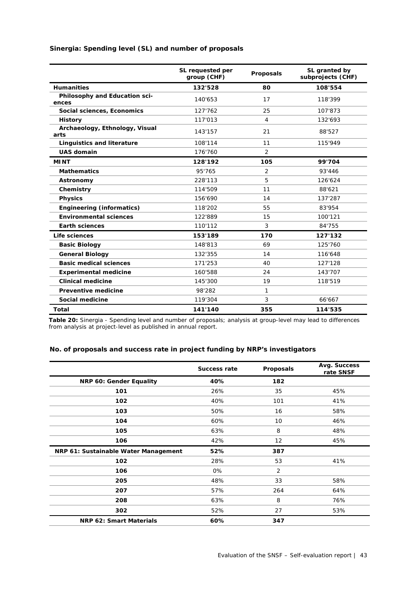|                                        | SL requested per<br>group (CHF) | Proposals      | SL granted by<br>subprojects (CHF) |
|----------------------------------------|---------------------------------|----------------|------------------------------------|
| <b>Humanities</b>                      | 132'528                         | 80             | 108'554                            |
| Philosophy and Education sci-<br>ences | 140'653                         | 17             | 118'399                            |
| Social sciences, Economics             | 127'762                         | 25             | 107'873                            |
| <b>History</b>                         | 117'013                         | 4              | 132'693                            |
| Archaeology, Ethnology, Visual<br>arts | 143'157                         | 21             | 88'527                             |
| <b>Linguistics and literature</b>      | 108'114                         | 11             | 115'949                            |
| <b>UAS domain</b>                      | 176'760                         | 2              |                                    |
| <b>MINT</b>                            | 128'192                         | 105            | 99'704                             |
| <b>Mathematics</b>                     | 95'765                          | $\overline{2}$ | 93'446                             |
| Astronomy                              | 228'113                         | 5              | 126'624                            |
| Chemistry                              | 114'509                         | 11             | 88'621                             |
| <b>Physics</b>                         | 156'690                         | 14             | 137'287                            |
| <b>Engineering (informatics)</b>       | 118'202                         | 55             | 83'954                             |
| <b>Environmental sciences</b>          | 122'889                         | 15             | 100'121                            |
| <b>Earth sciences</b>                  | 110'112                         | 3              | 84'755                             |
| Life sciences                          | 153'189                         | 170            | 127'132                            |
| <b>Basic Biology</b>                   | 148'813                         | 69             | 125'760                            |
| <b>General Biology</b>                 | 132'355                         | 14             | 116'648                            |
| <b>Basic medical sciences</b>          | 171'253                         | 40             | 127'128                            |
| <b>Experimental medicine</b>           | 160'588                         | 24             | 143'707                            |
| <b>Clinical medicine</b>               | 145'300                         | 19             | 118'519                            |
| Preventive medicine                    | 98'282                          | 1              |                                    |
| Social medicine                        | 119'304                         | 3              | 66'667                             |
| Total                                  | 141'140                         | 355            | 114'535                            |

**Sinergia: Spending level (SL) and number of proposals**

**Table 20:** Sinergia - Spending level and number of proposals; analysis at group-level may lead to differences from analysis at project-level as published in annual report.

#### **No. of proposals and success rate in project funding by NRP's investigators**

|                                      | <b>Success rate</b> | Proposals      | Avg. Success<br>rate SNSF |
|--------------------------------------|---------------------|----------------|---------------------------|
| NRP 60: Gender Equality              | 40%                 | 182            |                           |
| 101                                  | 26%                 | 35             | 45%                       |
| 102                                  | 40%                 | 101            | 41%                       |
| 103                                  | 50%                 | 16             | 58%                       |
| 104                                  | 60%                 | 10             | 46%                       |
| 105                                  | 63%                 | 8              | 48%                       |
| 106                                  | 42%                 | 12             | 45%                       |
| NRP 61: Sustainable Water Management | 52%                 | 387            |                           |
| 102                                  | 28%                 | 53             | 41%                       |
| 106                                  | 0%                  | $\overline{2}$ |                           |
| 205                                  | 48%                 | 33             | 58%                       |
| 207                                  | 57%                 | 264            | 64%                       |
| 208                                  | 63%                 | 8              | 76%                       |
| 302                                  | 52%                 | 27             | 53%                       |
| NRP 62: Smart Materials              | 60%                 | 347            |                           |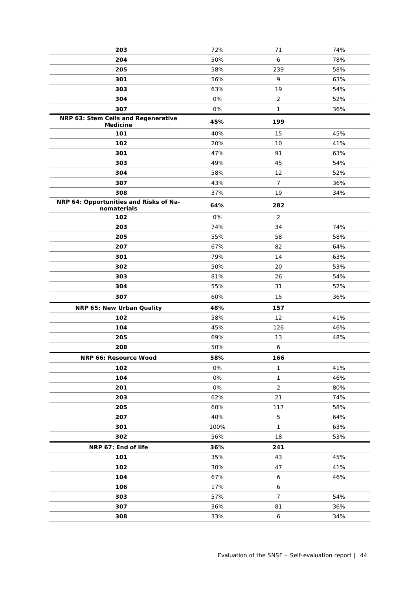| 203                                                    | 72%  | 71             | 74% |
|--------------------------------------------------------|------|----------------|-----|
| 204                                                    | 50%  | 6              | 78% |
| 205                                                    | 58%  | 239            | 58% |
| 301                                                    | 56%  | 9              | 63% |
| 303                                                    | 63%  | 19             | 54% |
| 304                                                    | 0%   | 2              | 52% |
| 307                                                    | 0%   | 1              | 36% |
| NRP 63: Stem Cells and Regenerative<br><b>Medicine</b> | 45%  | 199            |     |
| 101                                                    | 40%  | 15             | 45% |
| 102                                                    | 20%  | 10             | 41% |
| 301                                                    | 47%  | 91             | 63% |
| 303                                                    | 49%  | 45             | 54% |
| 304                                                    | 58%  | 12             | 52% |
| 307                                                    | 43%  | $\overline{7}$ | 36% |
| 308                                                    | 37%  | 19             | 34% |
| NRP 64: Opportunities and Risks of Na-<br>nomaterials  | 64%  | 282            |     |
| 102                                                    | 0%   | $\overline{2}$ |     |
| 203                                                    | 74%  | 34             | 74% |
| 205                                                    | 55%  | 58             | 58% |
| 207                                                    | 67%  | 82             | 64% |
| 301                                                    | 79%  | 14             | 63% |
| 302                                                    | 50%  | 20             | 53% |
| 303                                                    | 81%  | 26             | 54% |
| 304                                                    | 55%  | 31             | 52% |
| 307                                                    | 60%  | 15             | 36% |
| NRP 65: New Urban Quality                              | 48%  | 157            |     |
| 102                                                    | 58%  | 12             | 41% |
| 104                                                    | 45%  | 126            | 46% |
| 205                                                    | 69%  | 13             | 48% |
| 208                                                    | 50%  | 6              |     |
| NRP 66: Resource Wood                                  | 58%  | 166            |     |
| 102                                                    | 0%   | $\mathbf{1}$   | 41% |
| 104                                                    | 0%   | 1              | 46% |
| 201                                                    | 0%   | $\overline{2}$ | 80% |
| 203                                                    | 62%  | 21             | 74% |
| 205                                                    | 60%  | 117            | 58% |
| 207                                                    | 40%  | 5              | 64% |
| 301                                                    | 100% | $\mathbf{1}$   | 63% |
| 302                                                    | 56%  | 18             | 53% |
| NRP 67: End of life                                    | 36%  | 241            |     |
| 101                                                    | 35%  | 43             | 45% |
| 102                                                    | 30%  | 47             | 41% |
| 104                                                    | 67%  | 6              | 46% |
| 106                                                    | 17%  | 6              |     |
| 303                                                    | 57%  | $\overline{7}$ | 54% |
| 307                                                    | 36%  | 81             | 36% |
| 308                                                    | 33%  | 6              | 34% |
|                                                        |      |                |     |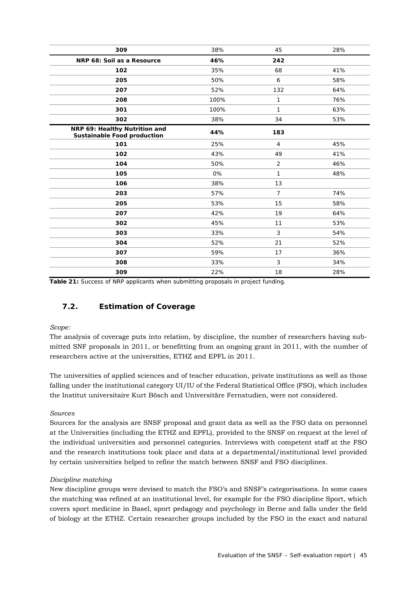| 309                                                                 | 38%  | 45             | 28% |
|---------------------------------------------------------------------|------|----------------|-----|
| NRP 68: Soil as a Resource                                          | 46%  | 242            |     |
| 102                                                                 | 35%  | 68             | 41% |
| 205                                                                 | 50%  | 6              | 58% |
| 207                                                                 | 52%  | 132            | 64% |
| 208                                                                 | 100% | 1              | 76% |
| 301                                                                 | 100% | $\mathbf{1}$   | 63% |
| 302                                                                 | 38%  | 34             | 53% |
| NRP 69: Healthy Nutrition and<br><b>Sustainable Food production</b> | 44%  | 183            |     |
| 101                                                                 | 25%  | $\overline{4}$ | 45% |
| 102                                                                 | 43%  | 49             | 41% |
| 104                                                                 | 50%  | 2              | 46% |
| 105                                                                 | 0%   | 1              | 48% |
| 106                                                                 | 38%  | 13             |     |
| 203                                                                 | 57%  | $\overline{7}$ | 74% |
| 205                                                                 | 53%  | 15             | 58% |
| 207                                                                 | 42%  | 19             | 64% |
| 302                                                                 | 45%  | 11             | 53% |
| 303                                                                 | 33%  | $\mathfrak{Z}$ | 54% |
| 304                                                                 | 52%  | 21             | 52% |
| 307                                                                 | 59%  | 17             | 36% |
| 308                                                                 | 33%  | 3              | 34% |
| 309                                                                 | 22%  | 18             | 28% |

**Table 21:** Success of NRP applicants when submitting proposals in project funding.

## **7.2. Estimation of Coverage**

#### *Scope:*

The analysis of coverage puts into relation, by discipline, the number of researchers having submitted SNF proposals in 2011, or benefitting from an ongoing grant in 2011, with the number of researchers active at the universities, ETHZ and EPFL in 2011.

The universities of applied sciences and of teacher education, private institutions as well as those falling under the institutional category UI/IU of the Federal Statistical Office (FSO), which includes the Institut universitaire Kurt Bösch and Universitäre Fernstudien, were not considered.

#### *Sources*

Sources for the analysis are SNSF proposal and grant data as well as the FSO data on personnel at the Universities (including the ETHZ and EPFL), provided to the SNSF on request at the level of the individual universities and personnel categories. Interviews with competent staff at the FSO and the research institutions took place and data at a departmental/institutional level provided by certain universities helped to refine the match between SNSF and FSO disciplines.

#### *Discipline matching*

New discipline groups were devised to match the FSO's and SNSF's categorisations. In some cases the matching was refined at an institutional level, for example for the FSO discipline Sport, which covers sport medicine in Basel, sport pedagogy and psychology in Berne and falls under the field of biology at the ETHZ. Certain researcher groups included by the FSO in the exact and natural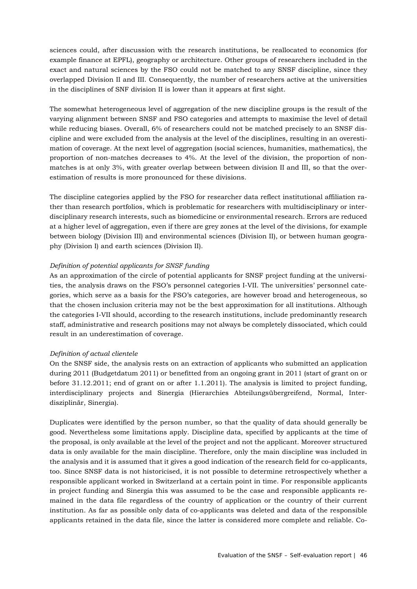sciences could, after discussion with the research institutions, be reallocated to economics (for example finance at EPFL), geography or architecture. Other groups of researchers included in the exact and natural sciences by the FSO could not be matched to any SNSF discipline, since they overlapped Division II and III. Consequently, the number of researchers active at the universities in the disciplines of SNF division II is lower than it appears at first sight.

The somewhat heterogeneous level of aggregation of the new discipline groups is the result of the varying alignment between SNSF and FSO categories and attempts to maximise the level of detail while reducing biases. Overall, 6% of researchers could not be matched precisely to an SNSF discipline and were excluded from the analysis at the level of the disciplines, resulting in an overestimation of coverage. At the next level of aggregation (social sciences, humanities, mathematics), the proportion of non-matches decreases to 4%. At the level of the division, the proportion of nonmatches is at only 3%, with greater overlap between between division II and III, so that the overestimation of results is more pronounced for these divisions.

The discipline categories applied by the FSO for researcher data reflect institutional affiliation rather than research portfolios, which is problematic for researchers with multidisciplinary or interdisciplinary research interests, such as biomedicine or environmental research. Errors are reduced at a higher level of aggregation, even if there are grey zones at the level of the divisions, for example between biology (Division III) and environmental sciences (Division II), or between human geography (Division I) and earth sciences (Division II).

#### *Definition of potential applicants for SNSF funding*

As an approximation of the circle of potential applicants for SNSF project funding at the universities, the analysis draws on the FSO's personnel categories I-VII. The universities' personnel categories, which serve as a basis for the FSO's categories, are however broad and heterogeneous, so that the chosen inclusion criteria may not be the best approximation for all institutions. Although the categories I-VII should, according to the research institutions, include predominantly research staff, administrative and research positions may not always be completely dissociated, which could result in an underestimation of coverage.

#### *Definition of actual clientele*

On the SNSF side, the analysis rests on an extraction of applicants who submitted an application during 2011 (Budgetdatum 2011) or benefitted from an ongoing grant in 2011 (start of grant on or before 31.12.2011; end of grant on or after 1.1.2011). The analysis is limited to project funding, interdisciplinary projects and Sinergia (Hierarchies Abteilungsübergreifend, Normal, Interdisziplinär, Sinergia).

Duplicates were identified by the person number, so that the quality of data should generally be good. Nevertheless some limitations apply. Discipline data, specified by applicants at the time of the proposal, is only available at the level of the project and not the applicant. Moreover structured data is only available for the main discipline. Therefore, only the main discipline was included in the analysis and it is assumed that it gives a good indication of the research field for co-applicants, too. Since SNSF data is not historicised, it is not possible to determine retrospectively whether a responsible applicant worked in Switzerland at a certain point in time. For responsible applicants in project funding and Sinergia this was assumed to be the case and responsible applicants remained in the data file regardless of the country of application or the country of their current institution. As far as possible only data of co-applicants was deleted and data of the responsible applicants retained in the data file, since the latter is considered more complete and reliable. Co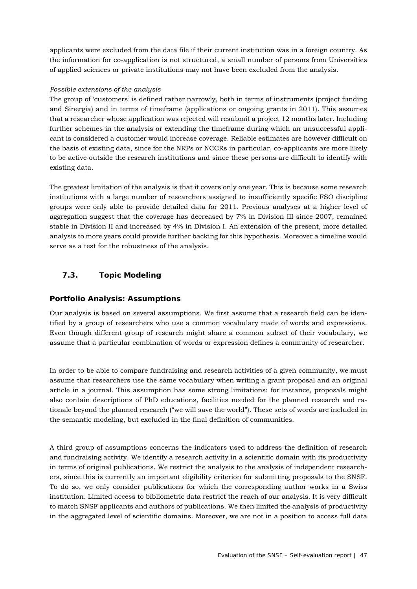applicants were excluded from the data file if their current institution was in a foreign country. As the information for co-application is not structured, a small number of persons from Universities of applied sciences or private institutions may not have been excluded from the analysis.

#### *Possible extensions of the analysis*

The group of 'customers' is defined rather narrowly, both in terms of instruments (project funding and Sinergia) and in terms of timeframe (applications or ongoing grants in 2011). This assumes that a researcher whose application was rejected will resubmit a project 12 months later. Including further schemes in the analysis or extending the timeframe during which an unsuccessful applicant is considered a customer would increase coverage. Reliable estimates are however difficult on the basis of existing data, since for the NRPs or NCCRs in particular, co-applicants are more likely to be active outside the research institutions and since these persons are difficult to identify with existing data.

The greatest limitation of the analysis is that it covers only one year. This is because some research institutions with a large number of researchers assigned to insufficiently specific FSO discipline groups were only able to provide detailed data for 2011. Previous analyses at a higher level of aggregation suggest that the coverage has decreased by 7% in Division III since 2007, remained stable in Division II and increased by 4% in Division I. An extension of the present, more detailed analysis to more years could provide further backing for this hypothesis. Moreover a timeline would serve as a test for the robustness of the analysis.

## **7.3. Topic Modeling**

## **Portfolio Analysis: Assumptions**

Our analysis is based on several assumptions. We first assume that a research field can be identified by a group of researchers who use a common vocabulary made of words and expressions. Even though different group of research might share a common subset of their vocabulary, we assume that a particular combination of words or expression defines a community of researcher.

In order to be able to compare fundraising and research activities of a given community, we must assume that researchers use the same vocabulary when writing a grant proposal and an original article in a journal. This assumption has some strong limitations: for instance, proposals might also contain descriptions of PhD educations, facilities needed for the planned research and rationale beyond the planned research ("we will save the world"). These sets of words are included in the semantic modeling, but excluded in the final definition of communities.

A third group of assumptions concerns the indicators used to address the definition of research and fundraising activity. We identify a research activity in a scientific domain with its productivity in terms of original publications. We restrict the analysis to the analysis of independent researchers, since this is currently an important eligibility criterion for submitting proposals to the SNSF. To do so, we only consider publications for which the corresponding author works in a Swiss institution. Limited access to bibliometric data restrict the reach of our analysis. It is very difficult to match SNSF applicants and authors of publications. We then limited the analysis of productivity in the aggregated level of scientific domains. Moreover, we are not in a position to access full data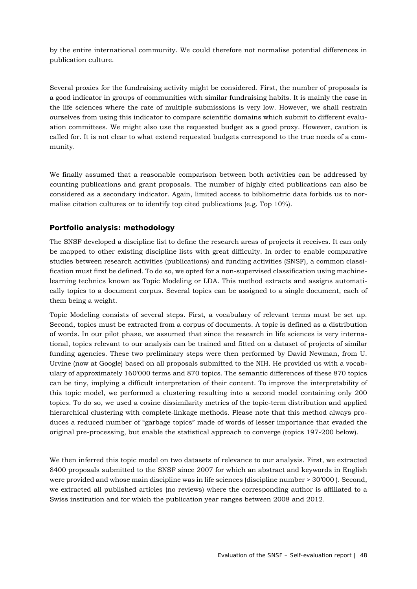by the entire international community. We could therefore not normalise potential differences in publication culture.

Several proxies for the fundraising activity might be considered. First, the number of proposals is a good indicator in groups of communities with similar fundraising habits. It is mainly the case in the life sciences where the rate of multiple submissions is very low. However, we shall restrain ourselves from using this indicator to compare scientific domains which submit to different evaluation committees. We might also use the requested budget as a good proxy. However, caution is called for. It is not clear to what extend requested budgets correspond to the true needs of a community.

We finally assumed that a reasonable comparison between both activities can be addressed by counting publications and grant proposals. The number of highly cited publications can also be considered as a secondary indicator. Again, limited access to bibliometric data forbids us to normalise citation cultures or to identify top cited publications (e.g. Top 10%).

#### **Portfolio analysis: methodology**

The SNSF developed a discipline list to define the research areas of projects it receives. It can only be mapped to other existing discipline lists with great difficulty. In order to enable comparative studies between research activities (publications) and funding activities (SNSF), a common classification must first be defined. To do so, we opted for a non-supervised classification using machinelearning technics known as Topic Modeling or LDA. This method extracts and assigns automatically topics to a document corpus. Several topics can be assigned to a single document, each of them being a weight.

Topic Modeling consists of several steps. First, a vocabulary of relevant terms must be set up. Second, topics must be extracted from a corpus of documents. A topic is defined as a distribution of words. In our pilot phase, we assumed that since the research in life sciences is very international, topics relevant to our analysis can be trained and fitted on a dataset of projects of similar funding agencies. These two preliminary steps were then performed by David Newman, from U. Urvine (now at Google) based on all proposals submitted to the NIH. He provided us with a vocabulary of approximately 160'000 terms and 870 topics. The semantic differences of these 870 topics can be tiny, implying a difficult interpretation of their content. To improve the interpretability of this topic model, we performed a clustering resulting into a second model containing only 200 topics. To do so, we used a cosine dissimilarity metrics of the topic-term distribution and applied hierarchical clustering with complete-linkage methods. Please note that this method always produces a reduced number of "garbage topics" made of words of lesser importance that evaded the original pre-processing, but enable the statistical approach to converge (topics 197-200 below).

We then inferred this topic model on two datasets of relevance to our analysis. First, we extracted 8400 proposals submitted to the SNSF since 2007 for which an abstract and keywords in English were provided and whose main discipline was in life sciences (discipline number > 30'000 ). Second, we extracted all published articles (no reviews) where the corresponding author is affiliated to a Swiss institution and for which the publication year ranges between 2008 and 2012.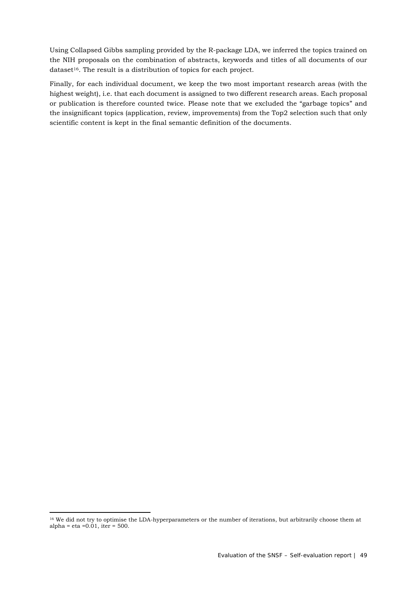Using Collapsed Gibbs sampling provided by the R-package LDA, we inferred the topics trained on the NIH proposals on the combination of abstracts, keywords and titles of all documents of our  $dataset<sup>16</sup>$ . The result is a distribution of topics for each project.

Finally, for each individual document, we keep the two most important research areas (with the highest weight), i.e. that each document is assigned to two different research areas. Each proposal or publication is therefore counted twice. Please note that we excluded the "garbage topics" and the insignificant topics (application, review, improvements) from the Top2 selection such that only scientific content is kept in the final semantic definition of the documents.

<sup>1</sup> <sup>16</sup> We did not try to optimise the LDA-hyperparameters or the number of iterations, but arbitrarily choose them at alpha = eta = $0.01$ , iter = 500.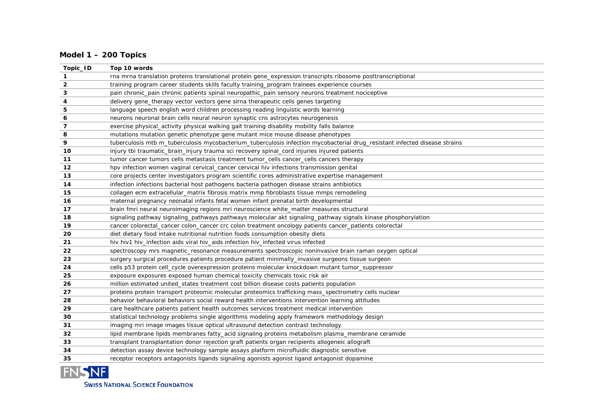## **Model 1 – 200 Topics**

| Topic_ID                | Top 10 words                                                                                                               |
|-------------------------|----------------------------------------------------------------------------------------------------------------------------|
| $\mathbf{1}$            | rna mrna translation proteins translational protein gene_expression transcripts ribosome posttranscriptional               |
| $\overline{2}$          | training program career students skills faculty training_program trainees experience courses                               |
| $\mathbf{3}$            | pain chronic_pain chronic patients spinal neuropathic_pain sensory neurons treatment nociceptive                           |
| 4                       | delivery gene_therapy vector vectors gene sirna therapeutic cells genes targeting                                          |
| ${\bf 5}$               | language speech english word children processing reading linguistic words learning                                         |
| 6                       | neurons neuronal brain cells neural neuron synaptic cns astrocytes neurogenesis                                            |
| $\overline{\mathbf{z}}$ | exercise physical_activity physical walking gait training disability mobility falls balance                                |
| 8                       | mutations mutation genetic phenotype gene mutant mice mouse disease phenotypes                                             |
| 9                       | tuberculosis mtb m_tuberculosis mycobacterium_tuberculosis infection mycobacterial drug_resistant infected disease strains |
| 10                      | injury tbi traumatic_brain_injury trauma sci recovery spinal_cord injuries injured patients                                |
| 11                      | tumor cancer tumors cells metastasis treatment tumor_cells cancer_cells cancers therapy                                    |
| 12                      | hpv infection women vaginal cervical_cancer cervical hiv infections transmission genital                                   |
| 13                      | core projects center investigators program scientific cores administrative expertise management                            |
| 14                      | infection infections bacterial host pathogens bacteria pathogen disease strains antibiotics                                |
| 15                      | collagen ecm extracellular_matrix fibrosis matrix mmp fibroblasts tissue mmps remodeling                                   |
| 16                      | maternal pregnancy neonatal infants fetal women infant prenatal birth developmental                                        |
| 17                      | brain fmri neural neuroimaging regions mri neuroscience white_matter measures structural                                   |
| 18                      | signaling pathway signaling_pathways pathways molecular akt signaling_pathway signals kinase phosphorylation               |
| 19                      | cancer colorectal_cancer colon_cancer crc colon treatment oncology patients cancer_patients colorectal                     |
| 20                      | diet dietary food intake nutritional nutrition foods consumption obesity diets                                             |
| 21                      | hiv hiv1 hiv_infection aids viral hiv_aids infection hiv_infected virus infected                                           |
| 22                      | spectroscopy mrs magnetic_resonance measurements spectroscopic noninvasive brain raman oxygen optical                      |
| 23                      | surgery surgical procedures patients procedure patient minimally_invasive surgeons tissue surgeon                          |
| 24                      | cells p53 protein cell_cycle overexpression proteins molecular knockdown mutant tumor_suppressor                           |
| 25                      | exposure exposures exposed human chemical toxicity chemicals toxic risk air                                                |
| 26                      | million estimated united_states treatment cost billion disease costs patients population                                   |
| 27                      | proteins protein transport proteomic molecular proteomics trafficking mass_spectrometry cells nuclear                      |
| 28                      | behavior behavioral behaviors social reward health interventions intervention learning attitudes                           |
| 29                      | care healthcare patients patient health outcomes services treatment medical intervention                                   |
| 30                      | statistical technology problems single algorithms modeling apply framework methodology design                              |
| 31                      | imaging mri image images tissue optical ultrasound detection contrast technology                                           |
| 32                      | lipid membrane lipids membranes fatty_acid signaling proteins metabolism plasma_membrane ceramide                          |
| 33                      | transplant transplantation donor rejection graft patients organ recipients allogeneic allograft                            |
| 34                      | detection assay device technology sample assays platform microfluidic diagnostic sensitive                                 |
| 35                      | receptor receptors antagonists ligands signaling agonists agonist ligand antagonist dopamine                               |



**SWISS NATIONAL SCIENCE FOUNDATION**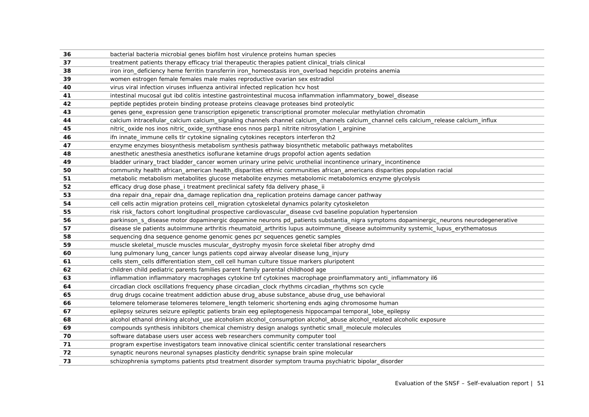| 36 | bacterial bacteria microbial genes biofilm host virulence proteins human species                                                       |
|----|----------------------------------------------------------------------------------------------------------------------------------------|
| 37 | treatment patients therapy efficacy trial therapeutic therapies patient clinical_trials clinical                                       |
| 38 | iron iron_deficiency heme ferritin transferrin iron_homeostasis iron_overload hepcidin proteins anemia                                 |
| 39 | women estrogen female females male males reproductive ovarian sex estradiol                                                            |
| 40 | virus viral infection viruses influenza antiviral infected replication hcv host                                                        |
| 41 | intestinal mucosal gut ibd colitis intestine gastrointestinal mucosa inflammation inflammatory_bowel_disease                           |
| 42 | peptide peptides protein binding protease proteins cleavage proteases bind proteolytic                                                 |
| 43 | genes gene_expression gene transcription epigenetic transcriptional promoter molecular methylation chromatin                           |
| 44 | calcium intracellular_calcium calcium_signaling channels channel calcium_channels calcium_channel cells calcium_release calcium_influx |
| 45 | nitric_oxide nos inos nitric_oxide_synthase enos nnos parp1 nitrite nitrosylation l_arginine                                           |
| 46 | ifn innate_immune cells tlr cytokine signaling cytokines receptors interferon th2                                                      |
| 47 | enzyme enzymes biosynthesis metabolism synthesis pathway biosynthetic metabolic pathways metabolites                                   |
| 48 | anesthetic anesthesia anesthetics isoflurane ketamine drugs propofol action agents sedation                                            |
| 49 | bladder urinary_tract bladder_cancer women urinary urine pelvic urothelial incontinence urinary_incontinence                           |
| 50 | community health african_american health_disparities ethnic communities african_americans disparities population racial                |
| 51 | metabolic metabolism metabolites glucose metabolite enzymes metabolomic metabolomics enzyme glycolysis                                 |
| 52 | efficacy drug dose phase_i treatment preclinical safety fda delivery phase_ii                                                          |
| 53 | dna repair dna_repair dna_damage replication dna_replication proteins damage cancer pathway                                            |
| 54 | cell cells actin migration proteins cell_migration cytoskeletal dynamics polarity cytoskeleton                                         |
| 55 | risk risk_factors cohort longitudinal prospective cardiovascular_disease cvd baseline population hypertension                          |
| 56 | parkinson_s_disease motor dopaminergic dopamine neurons pd_patients substantia_nigra symptoms dopaminergic_neurons neurodegenerative   |
| 57 | disease sle patients autoimmune arthritis rheumatoid_arthritis lupus autoimmune_disease autoimmunity systemic_lupus_erythematosus      |
| 58 | sequencing dna sequence genome genomic genes pcr sequences genetic samples                                                             |
| 59 | muscle skeletal_muscle muscles muscular_dystrophy myosin force skeletal fiber atrophy dmd                                              |
| 60 | lung pulmonary lung_cancer lungs patients copd airway alveolar disease lung_injury                                                     |
| 61 | cells stem_cells differentiation stem_cell cell human culture tissue markers pluripotent                                               |
| 62 | children child pediatric parents families parent family parental childhood age                                                         |
| 63 | inflammation inflammatory macrophages cytokine tnf cytokines macrophage proinflammatory anti_inflammatory il6                          |
| 64 | circadian clock oscillations frequency phase circadian_clock rhythms circadian_rhythms scn cycle                                       |
| 65 | drug drugs cocaine treatment addiction abuse drug_abuse substance_abuse drug_use behavioral                                            |
| 66 | telomere telomerase telomeres telomere_length telomeric shortening ends aging chromosome human                                         |
| 67 | epilepsy seizures seizure epileptic patients brain eeg epileptogenesis hippocampal temporal_lobe_epilepsy                              |
| 68 | alcohol ethanol drinking alcohol_use alcoholism alcohol_consumption alcohol_abuse alcohol_related alcoholic exposure                   |
| 69 | compounds synthesis inhibitors chemical chemistry design analogs synthetic small_molecule molecules                                    |
| 70 | software database users user access web researchers community computer tool                                                            |
| 71 | program expertise investigators team innovative clinical scientific center translational researchers                                   |
| 72 | synaptic neurons neuronal synapses plasticity dendritic synapse brain spine molecular                                                  |
| 73 | schizophrenia symptoms patients ptsd treatment disorder symptom trauma psychiatric bipolar_disorder                                    |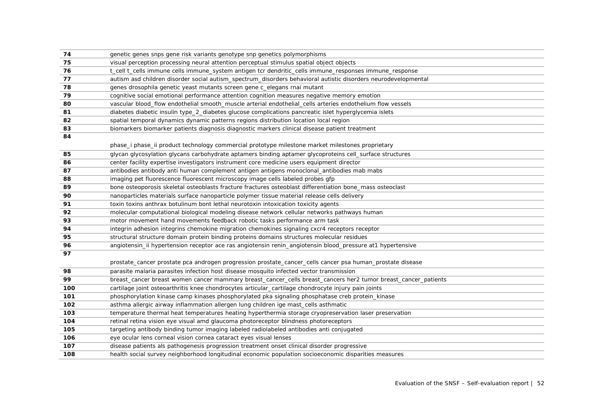| 74  | genetic genes snps gene risk variants genotype snp genetics polymorphisms                                      |
|-----|----------------------------------------------------------------------------------------------------------------|
| 75  | visual perception processing neural attention perceptual stimulus spatial object objects                       |
| 76  | t_cell t_cells immune cells immune_system antigen tcr dendritic_cells immune_responses immune_response         |
| 77  | autism asd children disorder social autism_spectrum_disorders behavioral autistic disorders neurodevelopmental |
| 78  | genes drosophila genetic yeast mutants screen gene c_elegans rnai mutant                                       |
| 79  | cognitive social emotional performance attention cognition measures negative memory emotion                    |
| 80  | vascular blood_flow endothelial smooth_muscle arterial endothelial_cells arteries endothelium flow vessels     |
| 81  | diabetes diabetic insulin type_2_diabetes glucose complications pancreatic islet hyperglycemia islets          |
| 82  | spatial temporal dynamics dynamic patterns regions distribution location local region                          |
| 83  | biomarkers biomarker patients diagnosis diagnostic markers clinical disease patient treatment                  |
| 84  |                                                                                                                |
|     | phase_i phase_ii product technology commercial prototype milestone market milestones proprietary               |
| 85  | glycan glycosylation glycans carbohydrate aptamers binding aptamer glycoproteins cell_surface structures       |
| 86  | center facility expertise investigators instrument core medicine users equipment director                      |
| 87  | antibodies antibody anti human complement antigen antigens monoclonal_antibodies mab mabs                      |
| 88  | imaging pet fluorescence fluorescent microscopy image cells labeled probes gfp                                 |
| 89  | bone osteoporosis skeletal osteoblasts fracture fractures osteoblast differentiation bone_mass osteoclast      |
| 90  | nanoparticles materials surface nanoparticle polymer tissue material release cells delivery                    |
| 91  | toxin toxins anthrax botulinum bont lethal neurotoxin intoxication toxicity agents                             |
| 92  | molecular computational biological modeling disease network cellular networks pathways human                   |
| 93  | motor movement hand movements feedback robotic tasks performance arm task                                      |
| 94  | integrin adhesion integrins chemokine migration chemokines signaling cxcr4 receptors receptor                  |
| 95  | structural structure domain protein binding proteins domains structures molecular residues                     |
| 96  | angiotensin_ii hypertension receptor ace ras angiotensin renin_angiotensin blood_pressure at1 hypertensive     |
| 97  |                                                                                                                |
|     | prostate_cancer prostate pca androgen progression prostate_cancer_cells cancer psa human_prostate disease      |
| 98  | parasite malaria parasites infection host disease mosquito infected vector transmission                        |
| 99  | breast_cancer breast women cancer mammary breast_cancer_cells breast_cancers her2 tumor breast_cancer_patients |
| 100 | cartilage joint osteoarthritis knee chondrocytes articular_cartilage chondrocyte injury pain joints            |
| 101 | phosphorylation kinase camp kinases phosphorylated pka signaling phosphatase creb protein_kinase               |
| 102 | asthma allergic airway inflammation allergen lung children ige mast_cells asthmatic                            |
| 103 | temperature thermal heat temperatures heating hyperthermia storage cryopreservation laser preservation         |
| 104 | retinal retina vision eye visual amd glaucoma photoreceptor blindness photoreceptors                           |
| 105 | targeting antibody binding tumor imaging labeled radiolabeled antibodies anti conjugated                       |
| 106 | eye ocular lens corneal vision cornea cataract eyes visual lenses                                              |
| 107 | disease patients als pathogenesis progression treatment onset clinical disorder progressive                    |
| 108 | health social survey neighborhood longitudinal economic population socioeconomic disparities measures          |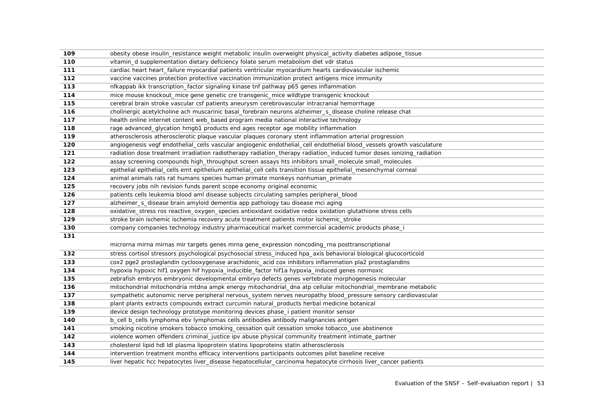| 109 | obesity obese insulin_resistance weight metabolic insulin overweight physical_activity diabetes adipose_tissue        |
|-----|-----------------------------------------------------------------------------------------------------------------------|
| 110 | vitamin_d supplementation dietary deficiency folate serum metabolism diet vdr status                                  |
| 111 | cardiac heart heart_failure myocardial patients ventricular myocardium hearts cardiovascular ischemic                 |
| 112 | vaccine vaccines protection protective vaccination immunization protect antigens mice immunity                        |
| 113 | nfkappab ikk transcription_factor signaling kinase tnf pathway p65 genes inflammation                                 |
| 114 | mice mouse knockout_mice gene genetic cre transgenic_mice wildtype transgenic knockout                                |
| 115 | cerebral brain stroke vascular csf patients aneurysm cerebrovascular intracranial hemorrhage                          |
| 116 | cholinergic acetylcholine ach muscarinic basal_forebrain neurons alzheimer_s_disease choline release chat             |
| 117 | health online internet content web_based program media national interactive technology                                |
| 118 | rage advanced_glycation hmgb1 products end ages receptor age mobility inflammation                                    |
| 119 | atherosclerosis atherosclerotic plaque vascular plaques coronary stent inflammation arterial progression              |
| 120 | angiogenesis vegf endothelial_cells vascular angiogenic endothelial_cell endothelial blood_vessels growth vasculature |
| 121 | radiation dose treatment irradiation radiotherapy radiation_therapy radiation_induced tumor doses ionizing_radiation  |
| 122 | assay screening compounds high_throughput screen assays hts inhibitors small_molecule small_molecules                 |
| 123 | epithelial epithelial_cells emt epithelium epithelial_cell cells transition tissue epithelial_mesenchymal corneal     |
| 124 | animal animals rats rat humans species human primate monkeys nonhuman_primate                                         |
| 125 | recovery jobs nih revision funds parent scope economy original economic                                               |
| 126 | patients cells leukemia blood aml disease subjects circulating samples peripheral_blood                               |
| 127 | alzheimer_s_disease brain amyloid dementia app pathology tau disease mci aging                                        |
| 128 | oxidative_stress ros reactive_oxygen_species antioxidant oxidative redox oxidation glutathione stress cells           |
| 129 | stroke brain ischemic ischemia recovery acute treatment patients motor ischemic_stroke                                |
| 130 | company companies technology industry pharmaceutical market commercial academic products phase_i                      |
| 131 |                                                                                                                       |
|     | microrna mirna mirnas mir targets genes mrna gene_expression noncoding_rna posttranscriptional                        |
| 132 | stress cortisol stressors psychological psychosocial stress_induced hpa_axis behavioral biological glucocorticoid     |
| 133 | cox2 pge2 prostaglandin cyclooxygenase arachidonic_acid cox inhibitors inflammation pla2 prostaglandins               |
| 134 | hypoxia hypoxic hif1 oxygen hif hypoxia_inducible_factor hif1a hypoxia_induced genes normoxic                         |
| 135 | zebrafish embryos embryonic developmental embryo defects genes vertebrate morphogenesis molecular                     |
| 136 | mitochondrial mitochondria mtdna ampk energy mitochondrial_dna atp cellular mitochondrial_membrane metabolic          |
| 137 | sympathetic autonomic nerve peripheral nervous_system nerves neuropathy blood_pressure sensory cardiovascular         |
| 138 | plant plants extracts compounds extract curcumin natural_products herbal medicine botanical                           |
| 139 | device design technology prototype monitoring devices phase_i patient monitor sensor                                  |
| 140 | b_cell b_cells lymphoma ebv lymphomas cells antibodies antibody malignancies antigen                                  |
| 141 | smoking nicotine smokers tobacco smoking_cessation quit cessation smoke tobacco_use abstinence                        |
| 142 | violence women offenders criminal_justice ipv abuse physical community treatment intimate_partner                     |
| 143 | cholesterol lipid hdl ldl plasma lipoprotein statins lipoproteins statin atherosclerosis                              |
| 144 | intervention treatment months efficacy interventions participants outcomes pilot baseline receive                     |
| 145 | liver hepatic hcc hepatocytes liver_disease hepatocellular_carcinoma hepatocyte cirrhosis liver_cancer patients       |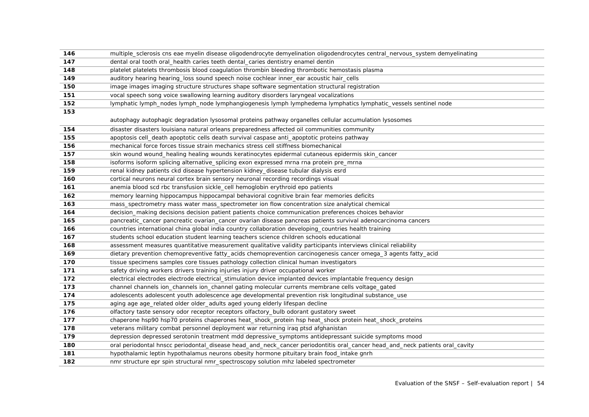| 146 | multiple_sclerosis cns eae myelin disease oligodendrocyte demyelination oligodendrocytes central_nervous_system demyelinating |
|-----|-------------------------------------------------------------------------------------------------------------------------------|
| 147 | dental oral tooth oral_health caries teeth dental_caries dentistry enamel dentin                                              |
| 148 | platelet platelets thrombosis blood coagulation thrombin bleeding thrombotic hemostasis plasma                                |
| 149 | auditory hearing hearing_loss sound speech noise cochlear inner_ear acoustic hair_cells                                       |
| 150 | image images imaging structure structures shape software segmentation structural registration                                 |
| 151 | vocal speech song voice swallowing learning auditory disorders laryngeal vocalizations                                        |
| 152 | lymphatic lymph_nodes lymph_node lymphangiogenesis lymph lymphedema lymphatics lymphatic_vessels sentinel node                |
| 153 |                                                                                                                               |
|     | autophagy autophagic degradation lysosomal proteins pathway organelles cellular accumulation lysosomes                        |
| 154 | disaster disasters louisiana natural orleans preparedness affected oil communities community                                  |
| 155 | apoptosis cell_death apoptotic cells death survival caspase anti_apoptotic proteins pathway                                   |
| 156 | mechanical force forces tissue strain mechanics stress cell stiffness biomechanical                                           |
| 157 | skin wound wound_healing healing wounds keratinocytes epidermal cutaneous epidermis skin_cancer                               |
| 158 | isoforms isoform splicing alternative_splicing exon expressed mrna rna protein pre_mrna                                       |
| 159 | renal kidney patients ckd disease hypertension kidney_disease tubular dialysis esrd                                           |
| 160 | cortical neurons neural cortex brain sensory neuronal recording recordings visual                                             |
| 161 | anemia blood scd rbc transfusion sickle_cell hemoglobin erythroid epo patients                                                |
| 162 | memory learning hippocampus hippocampal behavioral cognitive brain fear memories deficits                                     |
| 163 | mass_spectrometry mass water mass_spectrometer ion flow concentration size analytical chemical                                |
| 164 | decision_making decisions decision patient patients choice communication preferences choices behavior                         |
| 165 | pancreatic_cancer pancreatic ovarian_cancer ovarian disease pancreas patients survival adenocarcinoma cancers                 |
| 166 | countries international china global india country collaboration developing_countries health training                         |
| 167 | students school education student learning teachers science children schools educational                                      |
| 168 | assessment measures quantitative measurement qualitative validity participants interviews clinical reliability                |
| 169 | dietary prevention chemopreventive fatty_acids chemoprevention carcinogenesis cancer omega_3 agents fatty_acid                |
| 170 | tissue specimens samples core tissues pathology collection clinical human investigators                                       |
| 171 | safety driving workers drivers training injuries injury driver occupational worker                                            |
| 172 | electrical electrodes electrode electrical_stimulation device implanted devices implantable frequency design                  |
| 173 | channel channels ion_channels ion_channel gating molecular currents membrane cells voltage_gated                              |
| 174 | adolescents adolescent youth adolescence age developmental prevention risk longitudinal substance_use                         |
| 175 | aging age age_related older older_adults aged young elderly lifespan decline                                                  |
| 176 | olfactory taste sensory odor receptor receptors olfactory_bulb odorant gustatory sweet                                        |
| 177 | chaperone hsp90 hsp70 proteins chaperones heat_shock_protein hsp heat_shock protein heat_shock_proteins                       |
| 178 | veterans military combat personnel deployment war returning iraq ptsd afghanistan                                             |
| 179 | depression depressed serotonin treatment mdd depressive_symptoms antidepressant suicide symptoms mood                         |
| 180 | oral periodontal hnscc periodontal_disease head_and_neck_cancer periodontitis oral_cancer head_and_neck patients oral_cavity  |
| 181 | hypothalamic leptin hypothalamus neurons obesity hormone pituitary brain food_intake gnrh                                     |
| 182 | nmr structure epr spin structural nmr_spectroscopy solution mhz labeled spectrometer                                          |